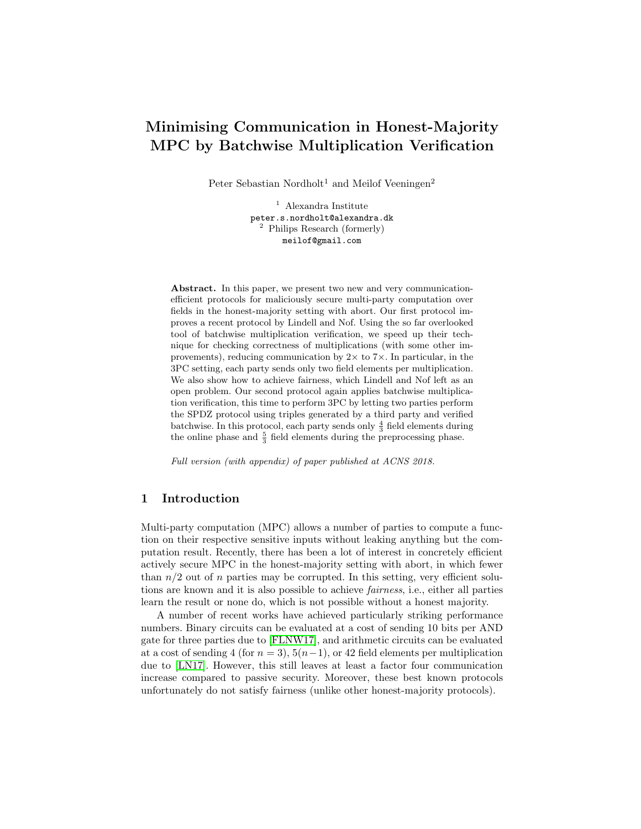# Minimising Communication in Honest-Majority MPC by Batchwise Multiplication Verification

Peter Sebastian Nordholt $^1$  and Meilof Veeningen $^2$ 

<sup>1</sup> Alexandra Institute peter.s.nordholt@alexandra.dk <sup>2</sup> Philips Research (formerly) meilof@gmail.com

Abstract. In this paper, we present two new and very communicationefficient protocols for maliciously secure multi-party computation over fields in the honest-majority setting with abort. Our first protocol improves a recent protocol by Lindell and Nof. Using the so far overlooked tool of batchwise multiplication verification, we speed up their technique for checking correctness of multiplications (with some other improvements), reducing communication by  $2 \times$  to  $7 \times$ . In particular, in the 3PC setting, each party sends only two field elements per multiplication. We also show how to achieve fairness, which Lindell and Nof left as an open problem. Our second protocol again applies batchwise multiplication verification, this time to perform 3PC by letting two parties perform the SPDZ protocol using triples generated by a third party and verified batchwise. In this protocol, each party sends only  $\frac{4}{3}$  field elements during the online phase and  $\frac{5}{3}$  field elements during the preprocessing phase.

Full version (with appendix) of paper published at ACNS 2018.

# 1 Introduction

Multi-party computation (MPC) allows a number of parties to compute a function on their respective sensitive inputs without leaking anything but the computation result. Recently, there has been a lot of interest in concretely efficient actively secure MPC in the honest-majority setting with abort, in which fewer than  $n/2$  out of n parties may be corrupted. In this setting, very efficient solutions are known and it is also possible to achieve fairness, i.e., either all parties learn the result or none do, which is not possible without a honest majority.

A number of recent works have achieved particularly striking performance numbers. Binary circuits can be evaluated at a cost of sending 10 bits per AND gate for three parties due to [\[FLNW17\]](#page-17-0), and arithmetic circuits can be evaluated at a cost of sending 4 (for  $n = 3$ ),  $5(n-1)$ , or 42 field elements per multiplication due to [\[LN17\]](#page-17-1). However, this still leaves at least a factor four communication increase compared to passive security. Moreover, these best known protocols unfortunately do not satisfy fairness (unlike other honest-majority protocols).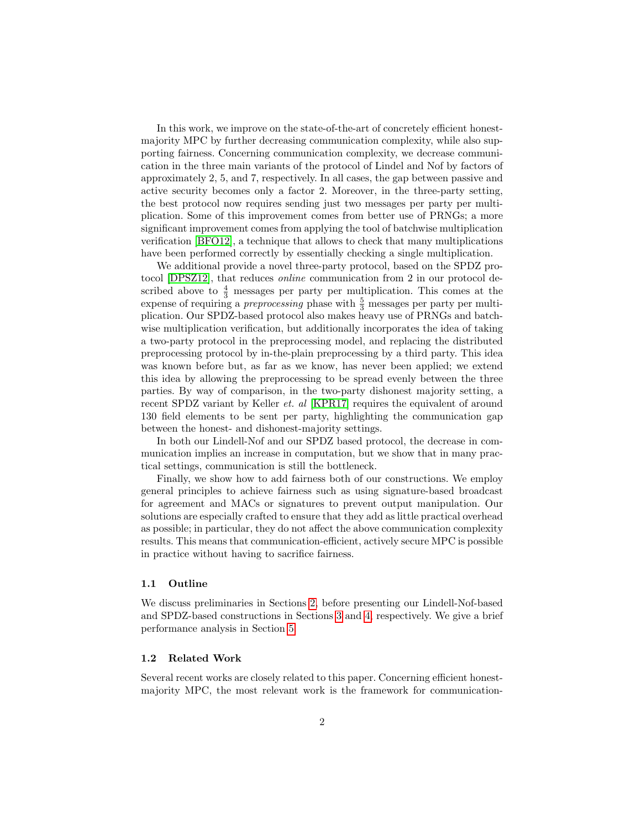In this work, we improve on the state-of-the-art of concretely efficient honestmajority MPC by further decreasing communication complexity, while also supporting fairness. Concerning communication complexity, we decrease communication in the three main variants of the protocol of Lindel and Nof by factors of approximately 2, 5, and 7, respectively. In all cases, the gap between passive and active security becomes only a factor 2. Moreover, in the three-party setting, the best protocol now requires sending just two messages per party per multiplication. Some of this improvement comes from better use of PRNGs; a more significant improvement comes from applying the tool of batchwise multiplication verification [\[BFO12\]](#page-17-2), a technique that allows to check that many multiplications have been performed correctly by essentially checking a single multiplication.

We additional provide a novel three-party protocol, based on the SPDZ protocol [\[DPSZ12\]](#page-17-3), that reduces online communication from 2 in our protocol described above to  $\frac{4}{3}$  messages per party per multiplication. This comes at the expense of requiring a *preprocessing* phase with  $\frac{5}{3}$  messages per party per multiplication. Our SPDZ-based protocol also makes heavy use of PRNGs and batchwise multiplication verification, but additionally incorporates the idea of taking a two-party protocol in the preprocessing model, and replacing the distributed preprocessing protocol by in-the-plain preprocessing by a third party. This idea was known before but, as far as we know, has never been applied; we extend this idea by allowing the preprocessing to be spread evenly between the three parties. By way of comparison, in the two-party dishonest majority setting, a recent SPDZ variant by Keller *et. al* [\[KPR17\]](#page-17-4) requires the equivalent of around 130 field elements to be sent per party, highlighting the communication gap between the honest- and dishonest-majority settings.

In both our Lindell-Nof and our SPDZ based protocol, the decrease in communication implies an increase in computation, but we show that in many practical settings, communication is still the bottleneck.

Finally, we show how to add fairness both of our constructions. We employ general principles to achieve fairness such as using signature-based broadcast for agreement and MACs or signatures to prevent output manipulation. Our solutions are especially crafted to ensure that they add as little practical overhead as possible; in particular, they do not affect the above communication complexity results. This means that communication-efficient, actively secure MPC is possible in practice without having to sacrifice fairness.

### 1.1 Outline

We discuss preliminaries in Sections [2,](#page-2-0) before presenting our Lindell-Nof-based and SPDZ-based constructions in Sections [3](#page-4-0) and [4,](#page-9-0) respectively. We give a brief performance analysis in Section [5.](#page-15-0)

### 1.2 Related Work

Several recent works are closely related to this paper. Concerning efficient honestmajority MPC, the most relevant work is the framework for communication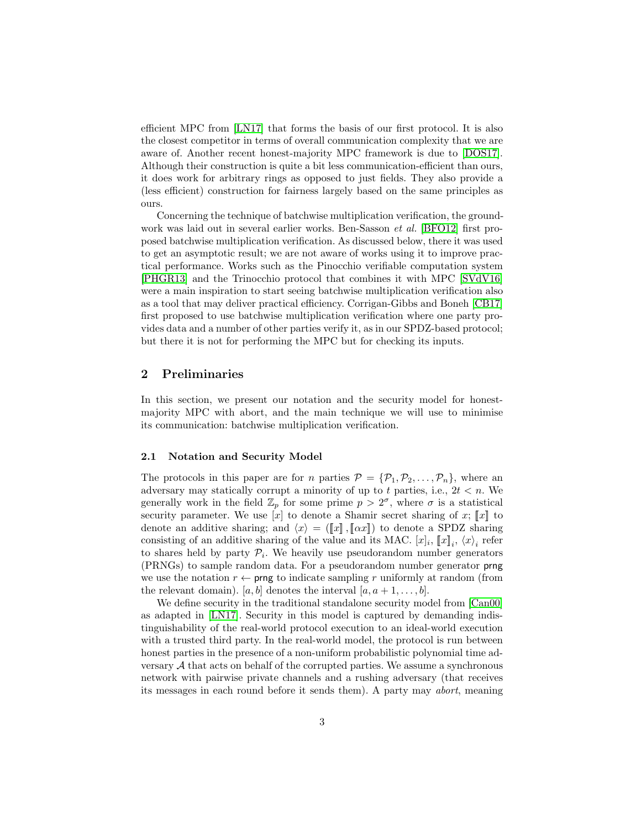efficient MPC from [\[LN17\]](#page-17-1) that forms the basis of our first protocol. It is also the closest competitor in terms of overall communication complexity that we are aware of. Another recent honest-majority MPC framework is due to [\[DOS17\]](#page-17-5). Although their construction is quite a bit less communication-efficient than ours, it does work for arbitrary rings as opposed to just fields. They also provide a (less efficient) construction for fairness largely based on the same principles as ours.

Concerning the technique of batchwise multiplication verification, the groundwork was laid out in several earlier works. Ben-Sasson et al. [\[BFO12\]](#page-17-2) first proposed batchwise multiplication verification. As discussed below, there it was used to get an asymptotic result; we are not aware of works using it to improve practical performance. Works such as the Pinocchio verifiable computation system [\[PHGR13\]](#page-18-0) and the Trinocchio protocol that combines it with MPC [\[SVdV16\]](#page-18-1) were a main inspiration to start seeing batchwise multiplication verification also as a tool that may deliver practical efficiency. Corrigan-Gibbs and Boneh [\[CB17\]](#page-17-6) first proposed to use batchwise multiplication verification where one party provides data and a number of other parties verify it, as in our SPDZ-based protocol; but there it is not for performing the MPC but for checking its inputs.

# <span id="page-2-0"></span>2 Preliminaries

In this section, we present our notation and the security model for honestmajority MPC with abort, and the main technique we will use to minimise its communication: batchwise multiplication verification.

### 2.1 Notation and Security Model

The protocols in this paper are for *n* parties  $P = \{P_1, P_2, \ldots, P_n\}$ , where an adversary may statically corrupt a minority of up to t parties, i.e.,  $2t < n$ . We generally work in the field  $\mathbb{Z}_p$  for some prime  $p > 2^{\sigma}$ , where  $\sigma$  is a statistical security parameter. We use [x] to denote a Shamir secret sharing of x;  $\llbracket x \rrbracket$  to denote an additive sharing; and  $\langle x \rangle = (\llbracket x \rrbracket, \llbracket \alpha x \rrbracket)$  to denote a SPDZ sharing consisting of an additive sharing of the value and its MAC.  $[x]_i$ ,  $[x]_i$ ,  $\langle x \rangle_i$  refer to shares held by party  $P_i$ . We heavily use pseudorandom number generators (PRNGs) to sample random data. For a pseudorandom number generator prng we use the notation  $r \leftarrow$  prng to indicate sampling r uniformly at random (from the relevant domain). [a, b] denotes the interval  $[a, a+1, \ldots, b]$ .

We define security in the traditional standalone security model from [\[Can00\]](#page-17-7) as adapted in [\[LN17\]](#page-17-1). Security in this model is captured by demanding indistinguishability of the real-world protocol execution to an ideal-world execution with a trusted third party. In the real-world model, the protocol is run between honest parties in the presence of a non-uniform probabilistic polynomial time adversary  $A$  that acts on behalf of the corrupted parties. We assume a synchronous network with pairwise private channels and a rushing adversary (that receives its messages in each round before it sends them). A party may abort, meaning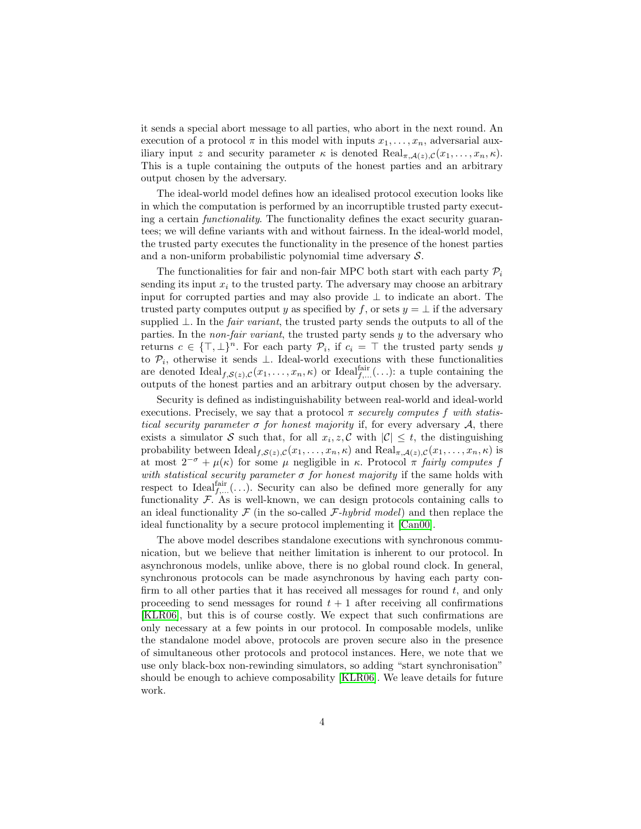it sends a special abort message to all parties, who abort in the next round. An execution of a protocol  $\pi$  in this model with inputs  $x_1, \ldots, x_n$ , adversarial auxiliary input z and security parameter  $\kappa$  is denoted  $\text{Real}_{\pi,\mathcal{A}(z),\mathcal{C}}(x_1,\ldots,x_n,\kappa)$ . This is a tuple containing the outputs of the honest parties and an arbitrary output chosen by the adversary.

The ideal-world model defines how an idealised protocol execution looks like in which the computation is performed by an incorruptible trusted party executing a certain functionality. The functionality defines the exact security guarantees; we will define variants with and without fairness. In the ideal-world model, the trusted party executes the functionality in the presence of the honest parties and a non-uniform probabilistic polynomial time adversary  $S$ .

The functionalities for fair and non-fair MPC both start with each party  $P_i$ sending its input  $x_i$  to the trusted party. The adversary may choose an arbitrary input for corrupted parties and may also provide ⊥ to indicate an abort. The trusted party computes output y as specified by f, or sets  $y = \pm$  if the adversary supplied  $\bot$ . In the *fair variant*, the trusted party sends the outputs to all of the parties. In the non-fair variant, the trusted party sends y to the adversary who returns  $c \in {\{\top, \bot\}}^n$ . For each party  $\mathcal{P}_i$ , if  $c_i = {\top}$  the trusted party sends y to  $\mathcal{P}_i$ , otherwise it sends  $\perp$ . Ideal-world executions with these functionalities are denoted  $Ideal_{f,\mathcal{S}(z),\mathcal{C}}(x_1,\ldots,x_n,\kappa)$  or  $Ideal_{f,\ldots}^{fair}(\ldots)$ : a tuple containing the outputs of the honest parties and an arbitrary output chosen by the adversary.

Security is defined as indistinguishability between real-world and ideal-world executions. Precisely, we say that a protocol  $\pi$  securely computes f with statistical security parameter  $\sigma$  for honest majority if, for every adversary A, there exists a simulator S such that, for all  $x_i, z, \mathcal{C}$  with  $|\mathcal{C}| \leq t$ , the distinguishing probability between  $\text{Ideal}_{f,\mathcal{S}(z),\mathcal{C}}(x_1,\ldots,x_n,\kappa)$  and  $\text{Real}_{\pi,\mathcal{A}(z),\mathcal{C}}(x_1,\ldots,x_n,\kappa)$  is at most  $2^{-\sigma} + \mu(\kappa)$  for some  $\mu$  negligible in  $\kappa$ . Protocol  $\pi$  fairly computes f with statistical security parameter  $\sigma$  for honest majority if the same holds with respect to Ideal $f_{n}^{\text{fair}}(\ldots)$ . Security can also be defined more generally for any functionality  $\mathcal{F}$ . As is well-known, we can design protocols containing calls to an ideal functionality  $\mathcal F$  (in the so-called  $\mathcal F$ -hybrid model) and then replace the ideal functionality by a secure protocol implementing it [\[Can00\]](#page-17-7).

The above model describes standalone executions with synchronous communication, but we believe that neither limitation is inherent to our protocol. In asynchronous models, unlike above, there is no global round clock. In general, synchronous protocols can be made asynchronous by having each party confirm to all other parties that it has received all messages for round  $t$ , and only proceeding to send messages for round  $t + 1$  after receiving all confirmations [\[KLR06\]](#page-17-8), but this is of course costly. We expect that such confirmations are only necessary at a few points in our protocol. In composable models, unlike the standalone model above, protocols are proven secure also in the presence of simultaneous other protocols and protocol instances. Here, we note that we use only black-box non-rewinding simulators, so adding "start synchronisation" should be enough to achieve composability [\[KLR06\]](#page-17-8). We leave details for future work.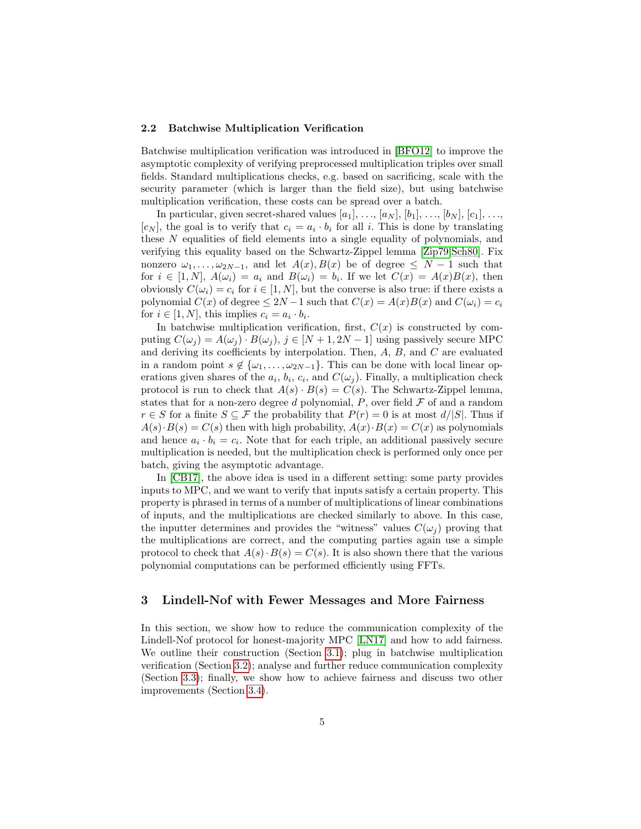#### 2.2 Batchwise Multiplication Verification

Batchwise multiplication verification was introduced in [\[BFO12\]](#page-17-2) to improve the asymptotic complexity of verifying preprocessed multiplication triples over small fields. Standard multiplications checks, e.g. based on sacrificing, scale with the security parameter (which is larger than the field size), but using batchwise multiplication verification, these costs can be spread over a batch.

In particular, given secret-shared values  $[a_1], \ldots, [a_N], [b_1], \ldots, [b_N], [c_1], \ldots$  $[c_N]$ , the goal is to verify that  $c_i = a_i \cdot b_i$  for all i. This is done by translating these N equalities of field elements into a single equality of polynomials, and verifying this equality based on the Schwartz-Zippel lemma [\[Zip79,](#page-18-2)[Sch80\]](#page-18-3). Fix nonzero  $\omega_1, \ldots, \omega_{2N-1}$ , and let  $A(x), B(x)$  be of degree  $\leq N-1$  such that for  $i \in [1, N], A(\omega_i) = a_i$  and  $B(\omega_i) = b_i$ . If we let  $C(x) = A(x)B(x)$ , then obviously  $C(\omega_i) = c_i$  for  $i \in [1, N]$ , but the converse is also true: if there exists a polynomial  $C(x)$  of degree  $\leq 2N-1$  such that  $C(x) = A(x)B(x)$  and  $C(\omega_i) = c_i$ for  $i \in [1, N]$ , this implies  $c_i = a_i \cdot b_i$ .

In batchwise multiplication verification, first,  $C(x)$  is constructed by computing  $C(\omega_i) = A(\omega_i) \cdot B(\omega_i)$ ,  $j \in [N+1, 2N-1]$  using passively secure MPC and deriving its coefficients by interpolation. Then,  $A, B$ , and  $C$  are evaluated in a random point  $s \notin {\omega_1, \ldots, \omega_{2N-1}}$ . This can be done with local linear operations given shares of the  $a_i, b_i, c_i$ , and  $C(\omega_j)$ . Finally, a multiplication check protocol is run to check that  $A(s) \cdot B(s) = C(s)$ . The Schwartz-Zippel lemma, states that for a non-zero degree d polynomial,  $P$ , over field  $\mathcal F$  of and a random  $r \in S$  for a finite  $S \subseteq \mathcal{F}$  the probability that  $P(r) = 0$  is at most  $d/|S|$ . Thus if  $A(s) \cdot B(s) = C(s)$  then with high probability,  $A(x) \cdot B(x) = C(x)$  as polynomials and hence  $a_i \cdot b_i = c_i$ . Note that for each triple, an additional passively secure multiplication is needed, but the multiplication check is performed only once per batch, giving the asymptotic advantage.

In [\[CB17\]](#page-17-6), the above idea is used in a different setting: some party provides inputs to MPC, and we want to verify that inputs satisfy a certain property. This property is phrased in terms of a number of multiplications of linear combinations of inputs, and the multiplications are checked similarly to above. In this case, the inputter determines and provides the "witness" values  $C(\omega_i)$  proving that the multiplications are correct, and the computing parties again use a simple protocol to check that  $A(s) \cdot B(s) = C(s)$ . It is also shown there that the various polynomial computations can be performed efficiently using FFTs.

# <span id="page-4-0"></span>3 Lindell-Nof with Fewer Messages and More Fairness

In this section, we show how to reduce the communication complexity of the Lindell-Nof protocol for honest-majority MPC [\[LN17\]](#page-17-1) and how to add fairness. We outline their construction (Section [3.1\)](#page-5-0); plug in batchwise multiplication verification (Section [3.2\)](#page-5-1); analyse and further reduce communication complexity (Section [3.3\)](#page-7-0); finally, we show how to achieve fairness and discuss two other improvements (Section [3.4\)](#page-8-0).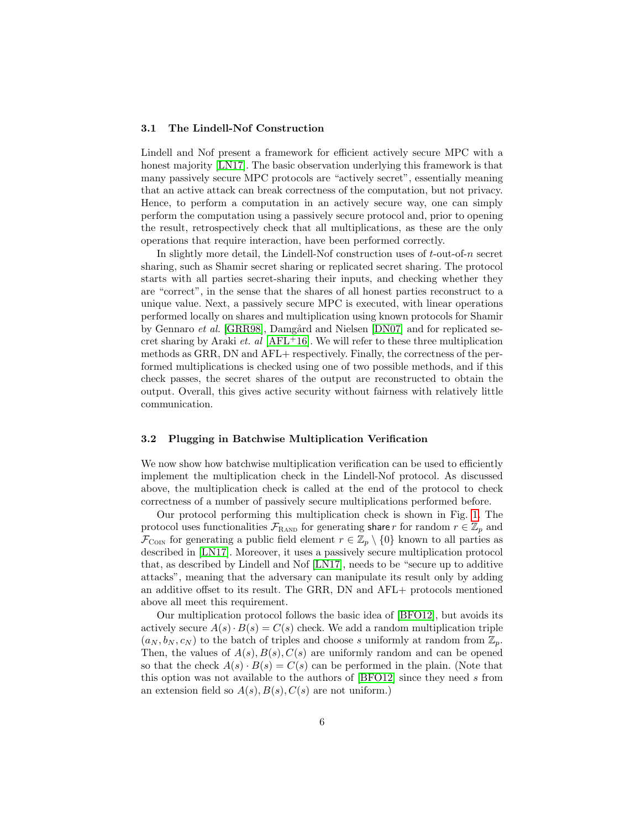# <span id="page-5-0"></span>3.1 The Lindell-Nof Construction

Lindell and Nof present a framework for efficient actively secure MPC with a honest majority [\[LN17\]](#page-17-1). The basic observation underlying this framework is that many passively secure MPC protocols are "actively secret", essentially meaning that an active attack can break correctness of the computation, but not privacy. Hence, to perform a computation in an actively secure way, one can simply perform the computation using a passively secure protocol and, prior to opening the result, retrospectively check that all multiplications, as these are the only operations that require interaction, have been performed correctly.

In slightly more detail, the Lindell-Nof construction uses of  $t$ -out-of-n secret sharing, such as Shamir secret sharing or replicated secret sharing. The protocol starts with all parties secret-sharing their inputs, and checking whether they are "correct", in the sense that the shares of all honest parties reconstruct to a unique value. Next, a passively secure MPC is executed, with linear operations performed locally on shares and multiplication using known protocols for Shamir by Gennaro et al. [\[GRR98\]](#page-17-9), Damgård and Nielsen [\[DN07\]](#page-17-10) and for replicated secret sharing by Araki et. al  $[AFL+16]$  $[AFL+16]$ . We will refer to these three multiplication methods as GRR, DN and AFL+ respectively. Finally, the correctness of the performed multiplications is checked using one of two possible methods, and if this check passes, the secret shares of the output are reconstructed to obtain the output. Overall, this gives active security without fairness with relatively little communication.

# <span id="page-5-1"></span>3.2 Plugging in Batchwise Multiplication Verification

We now show how batchwise multiplication verification can be used to efficiently implement the multiplication check in the Lindell-Nof protocol. As discussed above, the multiplication check is called at the end of the protocol to check correctness of a number of passively secure multiplications performed before.

Our protocol performing this multiplication check is shown in Fig. [1.](#page-6-0) The protocol uses functionalities  $\mathcal{F}_{\text{RAND}}$  for generating share r for random  $r \in \mathbb{Z}_p$  and  $\mathcal{F}_{\text{CON}}$  for generating a public field element  $r \in \mathbb{Z}_p \setminus \{0\}$  known to all parties as described in [\[LN17\]](#page-17-1). Moreover, it uses a passively secure multiplication protocol that, as described by Lindell and Nof [\[LN17\]](#page-17-1), needs to be "secure up to additive attacks", meaning that the adversary can manipulate its result only by adding an additive offset to its result. The GRR, DN and AFL+ protocols mentioned above all meet this requirement.

Our multiplication protocol follows the basic idea of [\[BFO12\]](#page-17-2), but avoids its actively secure  $A(s) \cdot B(s) = C(s)$  check. We add a random multiplication triple  $(a_N, b_N, c_N)$  to the batch of triples and choose s uniformly at random from  $\mathbb{Z}_p$ . Then, the values of  $A(s), B(s), C(s)$  are uniformly random and can be opened so that the check  $A(s) \cdot B(s) = C(s)$  can be performed in the plain. (Note that this option was not available to the authors of [\[BFO12\]](#page-17-2) since they need s from an extension field so  $A(s)$ ,  $B(s)$ ,  $C(s)$  are not uniform.)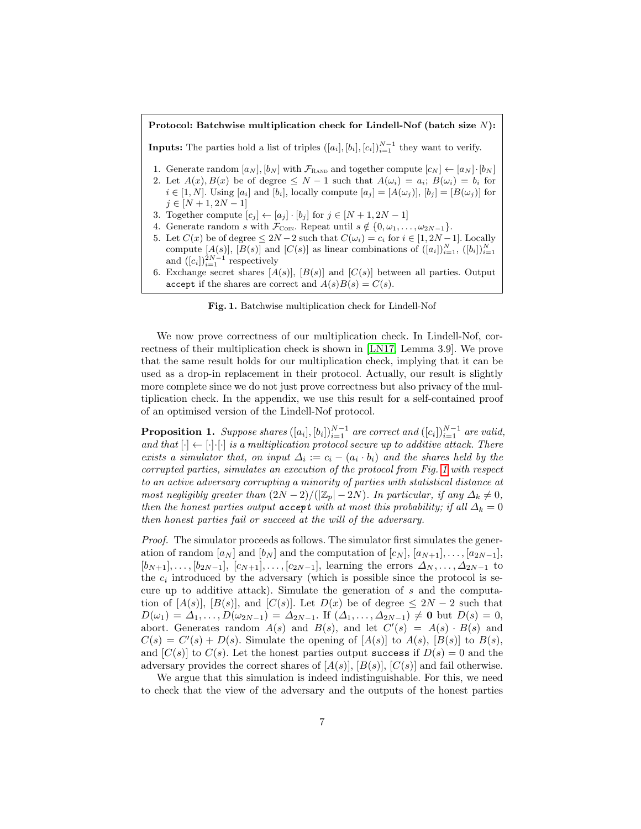## Protocol: Batchwise multiplication check for Lindell-Nof (batch size N):

**Inputs:** The parties hold a list of triples  $([a_i], [b_i], [c_i])_{i=1}^{N-1}$  they want to verify.

- 1. Generate random  $[a_N], [b_N]$  with  $\mathcal{F}_{\text{RAND}}$  and together compute  $[c_N] \leftarrow [a_N] \cdot [b_N]$
- 2. Let  $A(x)$ ,  $B(x)$  be of degree  $\leq N-1$  such that  $A(\omega_i) = a_i$ ;  $B(\omega_i) = b_i$  for  $i \in [1, N]$ . Using  $[a_i]$  and  $[b_i]$ , locally compute  $[a_j] = [A(\omega_j)], [b_j] = [B(\omega_j)]$  for  $j \in [N+1, 2N-1]$
- 3. Together compute  $[c_j] \leftarrow [a_j] \cdot [b_j]$  for  $j \in [N+1, 2N-1]$
- 4. Generate random s with  $\mathcal{F}_{\text{CON}}$ . Repeat until  $s \notin \{0, \omega_1, \ldots, \omega_{2N-1}\}.$
- 5. Let  $C(x)$  be of degree  $\leq 2N-2$  such that  $C(\omega_i) = c_i$  for  $i \in [1, 2N-1]$ . Locally compute  $[A(s)], [B(s)]$  and  $[C(s)]$  as linear combinations of  $([a_i])_{i=1}^N$ ,  $([b_i])_{i=1}^N$ and  $([c_i])_{i=1}^{2N-1}$  respectively
- 6. Exchange secret shares  $[A(s)], [B(s)]$  and  $[C(s)]$  between all parties. Output accept if the shares are correct and  $A(s)B(s) = C(s)$ .

<span id="page-6-0"></span>Fig. 1. Batchwise multiplication check for Lindell-Nof

We now prove correctness of our multiplication check. In Lindell-Nof, correctness of their multiplication check is shown in [\[LN17,](#page-17-1) Lemma 3.9]. We prove that the same result holds for our multiplication check, implying that it can be used as a drop-in replacement in their protocol. Actually, our result is slightly more complete since we do not just prove correctness but also privacy of the multiplication check. In the appendix, we use this result for a self-contained proof of an optimised version of the Lindell-Nof protocol.

<span id="page-6-1"></span>**Proposition 1.** Suppose shares  $([a_i], [b_i])_{i=1}^{N-1}$  are correct and  $([c_i])_{i=1}^{N-1}$  are valid, and that  $[\cdot] \leftarrow [\cdot] \cdot [\cdot]$  is a multiplication protocol secure up to additive attack. There exists a simulator that, on input  $\Delta_i := c_i - (a_i \cdot b_i)$  and the shares held by the corrupted parties, simulates an execution of the protocol from Fig. [1](#page-6-0) with respect to an active adversary corrupting a minority of parties with statistical distance at most negligibly greater than  $(2N-2)/(|\mathbb{Z}_p|-2N)$ . In particular, if any  $\Delta_k \neq 0$ , then the honest parties output accept with at most this probability; if all  $\Delta_k = 0$ then honest parties fail or succeed at the will of the adversary.

Proof. The simulator proceeds as follows. The simulator first simulates the generation of random  $[a_N]$  and  $[b_N]$  and the computation of  $[c_N]$ ,  $[a_{N+1}]$ , ...,  $[a_{2N-1}]$ ,  $[b_{N+1}], \ldots, [b_{2N-1}], [c_{N+1}], \ldots, [c_{2N-1}],$  learning the errors  $\Delta_N, \ldots, \Delta_{2N-1}$  to the  $c_i$  introduced by the adversary (which is possible since the protocol is secure up to additive attack). Simulate the generation of  $s$  and the computation of  $[A(s)]$ ,  $[B(s)]$ , and  $[C(s)]$ . Let  $D(x)$  be of degree  $\leq 2N-2$  such that  $D(\omega_1) = \Delta_1, \ldots, D(\omega_{2N-1}) = \Delta_{2N-1}$ . If  $(\Delta_1, \ldots, \Delta_{2N-1}) \neq \mathbf{0}$  but  $D(s) = 0$ , abort. Generates random  $A(s)$  and  $B(s)$ , and let  $C'(s) = A(s) \cdot B(s)$  and  $C(s) = C'(s) + D(s)$ . Simulate the opening of  $[A(s)]$  to  $A(s)$ ,  $[B(s)]$  to  $B(s)$ , and  $[C(s)]$  to  $C(s)$ . Let the honest parties output success if  $D(s) = 0$  and the adversary provides the correct shares of  $[A(s)]$ ,  $[B(s)]$ ,  $[C(s)]$  and fail otherwise.

We argue that this simulation is indeed indistinguishable. For this, we need to check that the view of the adversary and the outputs of the honest parties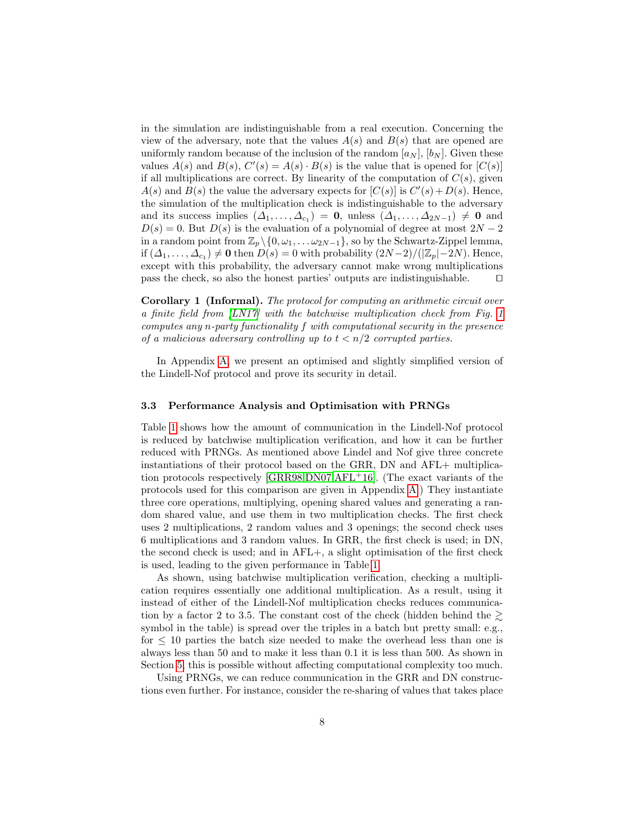in the simulation are indistinguishable from a real execution. Concerning the view of the adversary, note that the values  $A(s)$  and  $B(s)$  that are opened are uniformly random because of the inclusion of the random  $[a_N]$ ,  $[b_N]$ . Given these values  $A(s)$  and  $B(s)$ ,  $C'(s) = A(s) \cdot B(s)$  is the value that is opened for  $[C(s)]$ if all multiplications are correct. By linearity of the computation of  $C(s)$ , given  $A(s)$  and  $B(s)$  the value the adversary expects for  $[C(s)]$  is  $C'(s) + D(s)$ . Hence, the simulation of the multiplication check is indistinguishable to the adversary and its success implies  $(\Delta_1, \ldots, \Delta_{c_1}) = 0$ , unless  $(\Delta_1, \ldots, \Delta_{2N-1}) \neq 0$  and  $D(s) = 0$ . But  $D(s)$  is the evaluation of a polynomial of degree at most  $2N - 2$ in a random point from  $\mathbb{Z}_p \setminus \{0, \omega_1, \ldots \omega_{2N-1}\}$ , so by the Schwartz-Zippel lemma, if  $(\Delta_1, \ldots, \Delta_{c_1}) \neq \mathbf{0}$  then  $D(s) = 0$  with probability  $(2N-2)/(|\mathbb{Z}_p| - 2N)$ . Hence, except with this probability, the adversary cannot make wrong multiplications pass the check, so also the honest parties' outputs are indistinguishable.  $\Box$ 

Corollary 1 (Informal). The protocol for computing an arithmetic circuit over a finite field from [\[LN17\]](#page-17-1) with the batchwise multiplication check from Fig. [1](#page-6-0) computes any n-party functionality f with computational security in the presence of a malicious adversary controlling up to  $t < n/2$  corrupted parties.

In Appendix [A,](#page-18-4) we present an optimised and slightly simplified version of the Lindell-Nof protocol and prove its security in detail.

#### <span id="page-7-0"></span>3.3 Performance Analysis and Optimisation with PRNGs

Table [1](#page-8-1) shows how the amount of communication in the Lindell-Nof protocol is reduced by batchwise multiplication verification, and how it can be further reduced with PRNGs. As mentioned above Lindel and Nof give three concrete instantiations of their protocol based on the GRR, DN and AFL+ multiplication protocols respectively [\[GRR98,](#page-17-9)[DN07,](#page-17-10)[AFL](#page-17-11)+16]. (The exact variants of the protocols used for this comparison are given in Appendix [A.](#page-18-4)) They instantiate three core operations, multiplying, opening shared values and generating a random shared value, and use them in two multiplication checks. The first check uses 2 multiplications, 2 random values and 3 openings; the second check uses 6 multiplications and 3 random values. In GRR, the first check is used; in DN, the second check is used; and in AFL+, a slight optimisation of the first check is used, leading to the given performance in Table [1.](#page-8-1)

As shown, using batchwise multiplication verification, checking a multiplication requires essentially one additional multiplication. As a result, using it instead of either of the Lindell-Nof multiplication checks reduces communication by a factor 2 to 3.5. The constant cost of the check (hidden behind the  $\geq$ symbol in the table) is spread over the triples in a batch but pretty small: e.g., for ≤ 10 parties the batch size needed to make the overhead less than one is always less than 50 and to make it less than 0.1 it is less than 500. As shown in Section [5,](#page-15-0) this is possible without affecting computational complexity too much.

Using PRNGs, we can reduce communication in the GRR and DN constructions even further. For instance, consider the re-sharing of values that takes place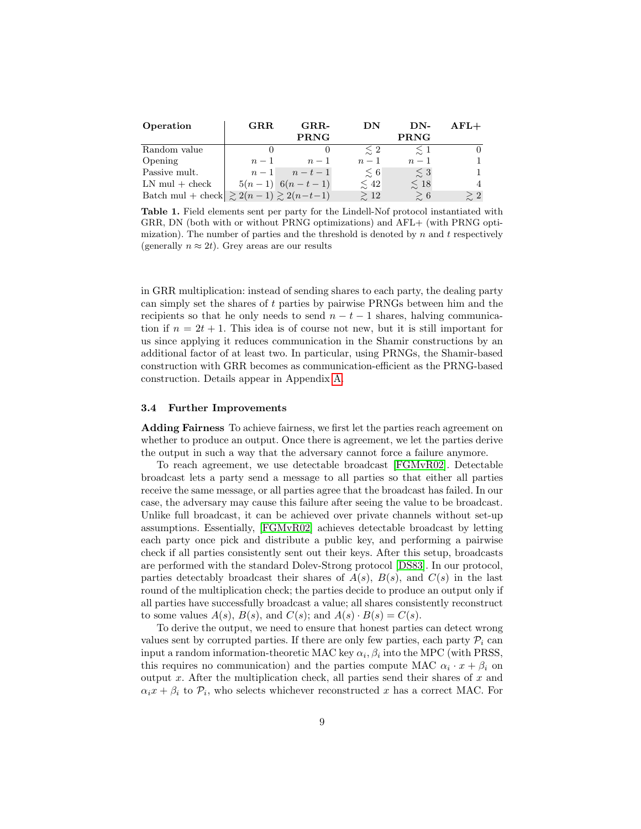| Operation                                     | $_{\rm GRR}$ | $_{\rm GRR}$        | $\mathbf{DN}$ | $DN-$         | ${\rm AFL+}$ |
|-----------------------------------------------|--------------|---------------------|---------------|---------------|--------------|
|                                               |              | <b>PRNG</b>         |               | <b>PRNG</b>   |              |
| Random value                                  |              |                     | $\leq 2$      |               |              |
| Opening                                       | $n-1$        | $n-1$               | $n-1$         | $n-1$         |              |
| Passive mult.                                 | $n-1$        | $n-t-1$             | $\lesssim 6$  | $\lesssim 3$  |              |
| $LN$ mul + check                              |              | $5(n-1)$ $6(n-t-1)$ | $\lesssim 42$ | $\lesssim$ 18 |              |
| Batch mul + check $\geq 2(n-1) \geq 2(n-t-1)$ |              |                     | $\gtrsim 12$  | $\gtrsim 6$   | $\gtrsim 2$  |

<span id="page-8-1"></span>Table 1. Field elements sent per party for the Lindell-Nof protocol instantiated with GRR, DN (both with or without PRNG optimizations) and AFL+ (with PRNG optimization). The number of parties and the threshold is denoted by  $n$  and  $t$  respectively (generally  $n \approx 2t$ ). Grey areas are our results

in GRR multiplication: instead of sending shares to each party, the dealing party can simply set the shares of t parties by pairwise PRNGs between him and the recipients so that he only needs to send  $n - t - 1$  shares, halving communication if  $n = 2t + 1$ . This idea is of course not new, but it is still important for us since applying it reduces communication in the Shamir constructions by an additional factor of at least two. In particular, using PRNGs, the Shamir-based construction with GRR becomes as communication-efficient as the PRNG-based construction. Details appear in Appendix [A.](#page-18-4)

#### <span id="page-8-0"></span>3.4 Further Improvements

Adding Fairness To achieve fairness, we first let the parties reach agreement on whether to produce an output. Once there is agreement, we let the parties derive the output in such a way that the adversary cannot force a failure anymore.

To reach agreement, we use detectable broadcast [\[FGMvR02\]](#page-17-12). Detectable broadcast lets a party send a message to all parties so that either all parties receive the same message, or all parties agree that the broadcast has failed. In our case, the adversary may cause this failure after seeing the value to be broadcast. Unlike full broadcast, it can be achieved over private channels without set-up assumptions. Essentially, [\[FGMvR02\]](#page-17-12) achieves detectable broadcast by letting each party once pick and distribute a public key, and performing a pairwise check if all parties consistently sent out their keys. After this setup, broadcasts are performed with the standard Dolev-Strong protocol [\[DS83\]](#page-17-13). In our protocol, parties detectably broadcast their shares of  $A(s)$ ,  $B(s)$ , and  $C(s)$  in the last round of the multiplication check; the parties decide to produce an output only if all parties have successfully broadcast a value; all shares consistently reconstruct to some values  $A(s)$ ,  $B(s)$ , and  $C(s)$ ; and  $A(s) \cdot B(s) = C(s)$ .

To derive the output, we need to ensure that honest parties can detect wrong values sent by corrupted parties. If there are only few parties, each party  $\mathcal{P}_i$  can input a random information-theoretic MAC key  $\alpha_i$ ,  $\beta_i$  into the MPC (with PRSS, this requires no communication) and the parties compute MAC  $\alpha_i \cdot x + \beta_i$  on output  $x$ . After the multiplication check, all parties send their shares of  $x$  and  $\alpha_i x + \beta_i$  to  $\mathcal{P}_i$ , who selects whichever reconstructed x has a correct MAC. For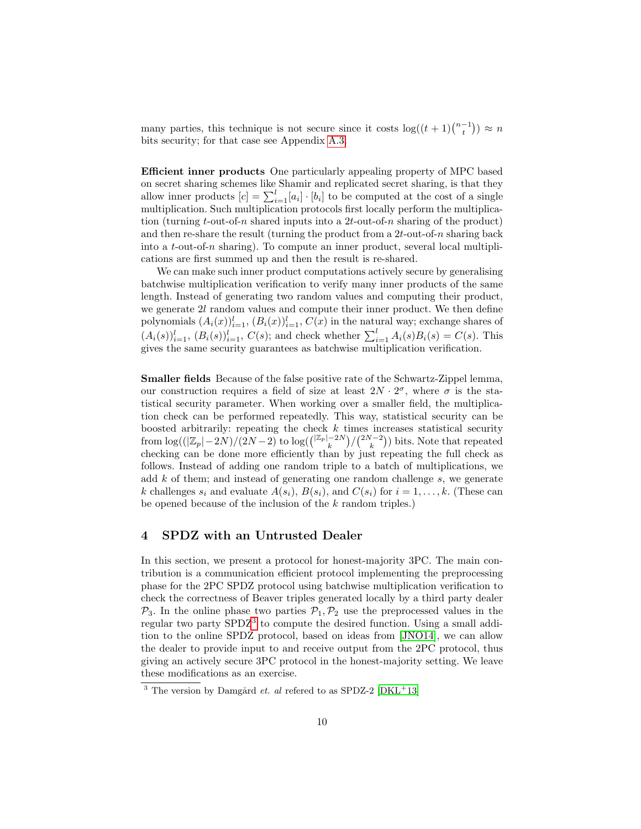many parties, this technique is not secure since it costs  $\log((t+1)\binom{n-1}{t}) \approx n$ bits security; for that case see Appendix [A.3.](#page-21-0)

Efficient inner products One particularly appealing property of MPC based on secret sharing schemes like Shamir and replicated secret sharing, is that they allow inner products  $[c] = \sum_{i=1}^{l} [a_i] \cdot [b_i]$  to be computed at the cost of a single multiplication. Such multiplication protocols first locally perform the multiplication (turning t-out-of-n shared inputs into a 2t-out-of-n sharing of the product) and then re-share the result (turning the product from a  $2t$ -out-of-n sharing back into a  $t$ -out-of-n sharing). To compute an inner product, several local multiplications are first summed up and then the result is re-shared.

We can make such inner product computations actively secure by generalising batchwise multiplication verification to verify many inner products of the same length. Instead of generating two random values and computing their product, we generate 2l random values and compute their inner product. We then define polynomials  $(A_i(x))_{i=1}^l$ ,  $(B_i(x))_{i=1}^l$ ,  $C(x)$  in the natural way; exchange shares of  $(A_i(s))_{i=1}^l, (B_i(s))_{i=1}^l, C(s)$ ; and check whether  $\sum_{i=1}^l A_i(s)B_i(s) = C(s)$ . This gives the same security guarantees as batchwise multiplication verification.

Smaller fields Because of the false positive rate of the Schwartz-Zippel lemma, our construction requires a field of size at least  $2N \cdot 2^{\sigma}$ , where  $\sigma$  is the statistical security parameter. When working over a smaller field, the multiplication check can be performed repeatedly. This way, statistical security can be boosted arbitrarily: repeating the check  $k$  times increases statistical security from  $\log((\lvert \mathbb{Z}_p \rvert - 2N)/(2N-2))$  to  $\log(\binom{\lvert \mathbb{Z}_p \rvert - 2N}{k} / \binom{2N-2}{k})$  bits. Note that repeated checking can be done more efficiently than by just repeating the full check as follows. Instead of adding one random triple to a batch of multiplications, we add  $k$  of them; and instead of generating one random challenge  $s$ , we generate k challenges  $s_i$  and evaluate  $A(s_i)$ ,  $B(s_i)$ , and  $C(s_i)$  for  $i = 1, \ldots, k$ . (These can be opened because of the inclusion of the  $k$  random triples.)

# <span id="page-9-0"></span>4 SPDZ with an Untrusted Dealer

In this section, we present a protocol for honest-majority 3PC. The main contribution is a communication efficient protocol implementing the preprocessing phase for the 2PC SPDZ protocol using batchwise multiplication verification to check the correctness of Beaver triples generated locally by a third party dealer  $\mathcal{P}_3$ . In the online phase two parties  $\mathcal{P}_1, \mathcal{P}_2$  use the preprocessed values in the regular two party  $SPDZ<sup>3</sup>$  $SPDZ<sup>3</sup>$  $SPDZ<sup>3</sup>$  to compute the desired function. Using a small addition to the online SPDZ protocol, based on ideas from [\[JNO14\]](#page-17-14), we can allow the dealer to provide input to and receive output from the 2PC protocol, thus giving an actively secure 3PC protocol in the honest-majority setting. We leave these modifications as an exercise.

<span id="page-9-1"></span><sup>&</sup>lt;sup>3</sup> The version by Damgård *et. al* refered to as SPDZ-2  $[DKL^+13]$  $[DKL^+13]$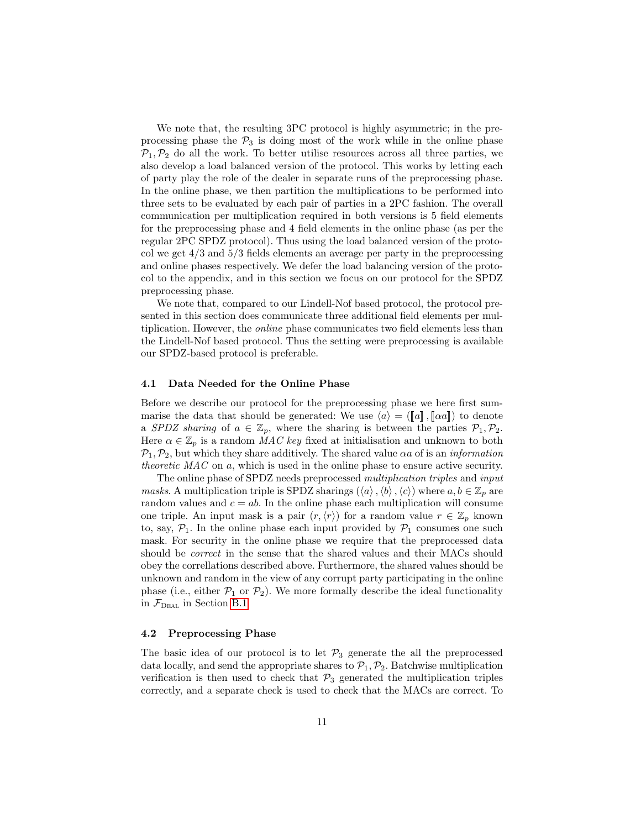We note that, the resulting 3PC protocol is highly asymmetric; in the preprocessing phase the  $P_3$  is doing most of the work while in the online phase  $\mathcal{P}_1, \mathcal{P}_2$  do all the work. To better utilise resources across all three parties, we also develop a load balanced version of the protocol. This works by letting each of party play the role of the dealer in separate runs of the preprocessing phase. In the online phase, we then partition the multiplications to be performed into three sets to be evaluated by each pair of parties in a 2PC fashion. The overall communication per multiplication required in both versions is 5 field elements for the preprocessing phase and 4 field elements in the online phase (as per the regular 2PC SPDZ protocol). Thus using the load balanced version of the protocol we get 4/3 and 5/3 fields elements an average per party in the preprocessing and online phases respectively. We defer the load balancing version of the protocol to the appendix, and in this section we focus on our protocol for the SPDZ preprocessing phase.

We note that, compared to our Lindell-Nof based protocol, the protocol presented in this section does communicate three additional field elements per multiplication. However, the online phase communicates two field elements less than the Lindell-Nof based protocol. Thus the setting were preprocessing is available our SPDZ-based protocol is preferable.

### 4.1 Data Needed for the Online Phase

Before we describe our protocol for the preprocessing phase we here first summarise the data that should be generated: We use  $\langle a \rangle = (\llbracket a \rrbracket, \llbracket \alpha a \rrbracket)$  to denote a SPDZ sharing of  $a \in \mathbb{Z}_p$ , where the sharing is between the parties  $\mathcal{P}_1, \mathcal{P}_2$ . Here  $\alpha \in \mathbb{Z}_p$  is a random MAC key fixed at initialisation and unknown to both  $P_1, P_2$ , but which they share additively. The shared value  $\alpha a$  of is an *information* theoretic MAC on a, which is used in the online phase to ensure active security.

The online phase of SPDZ needs preprocessed multiplication triples and input masks. A multiplication triple is SPDZ sharings  $(\langle a \rangle, \langle b \rangle, \langle c \rangle)$  where  $a, b \in \mathbb{Z}_p$  are random values and  $c = ab$ . In the online phase each multiplication will consume one triple. An input mask is a pair  $(r,\langle r \rangle)$  for a random value  $r \in \mathbb{Z}_p$  known to, say,  $\mathcal{P}_1$ . In the online phase each input provided by  $\mathcal{P}_1$  consumes one such mask. For security in the online phase we require that the preprocessed data should be correct in the sense that the shared values and their MACs should obey the correllations described above. Furthermore, the shared values should be unknown and random in the view of any corrupt party participating in the online phase (i.e., either  $\mathcal{P}_1$  or  $\mathcal{P}_2$ ). We more formally describe the ideal functionality in  $\mathcal{F}_{\text{DEAL}}$  in Section [B.1](#page-22-0)

# 4.2 Preprocessing Phase

The basic idea of our protocol is to let  $\mathcal{P}_3$  generate the all the preprocessed data locally, and send the appropriate shares to  $\mathcal{P}_1, \mathcal{P}_2$ . Batchwise multiplication verification is then used to check that  $\mathcal{P}_3$  generated the multiplication triples correctly, and a separate check is used to check that the MACs are correct. To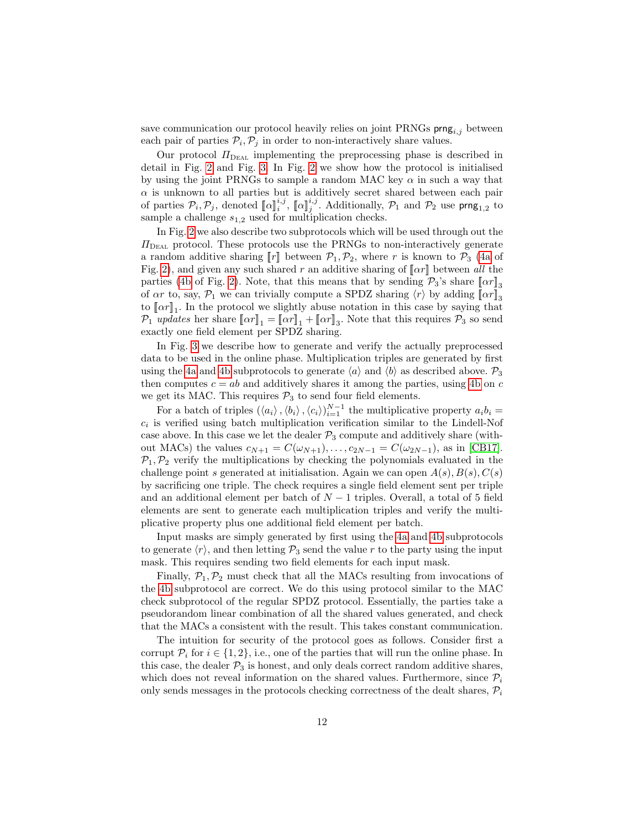save communication our protocol heavily relies on joint PRNGs  $prng_{i,j}$  between each pair of parties  $\mathcal{P}_i, \mathcal{P}_j$  in order to non-interactively share values.

Our protocol  $\Pi_{\text{Data}}$  implementing the preprocessing phase is described in detail in Fig. [2](#page-12-0) and Fig. [3.](#page-13-0) In Fig. [2](#page-12-0) we show how the protocol is initialised by using the joint PRNGs to sample a random MAC key  $\alpha$  in such a way that  $\alpha$  is unknown to all parties but is additively secret shared between each pair of parties  $\mathcal{P}_i, \mathcal{P}_j$ , denoted  $[\![\alpha]\!]_i^{i,j}$ ,  $[\![\alpha]\!]_j^{i,j}$ . Additionally,  $\mathcal{P}_1$  and  $\mathcal{P}_2$  use  $\mathsf{prng}_{1,2}$  to sample a challenge  $s_{1,2}$  used for multiplication checks.

In Fig. [2](#page-12-0) we also describe two subprotocols which will be used through out the  $\Pi_{\text{DEAL}}$  protocol. These protocols use the PRNGs to non-interactively generate a random additive sharing  $\llbracket r \rrbracket$  between  $\mathcal{P}_1, \mathcal{P}_2$ , where r is known to  $\mathcal{P}_3$  [\(4a](#page-12-1) of Fig. [2\)](#page-12-0), and given any such shared r an additive sharing of  $\llbracket \alpha r \rrbracket$  between all the parties [\(4b](#page-12-2) of Fig. [2\)](#page-12-0). Note, that this means that by sending  $\mathcal{P}_3$ 's share  $\llbracket \alpha r \rrbracket_3$ of  $\alpha r$  to, say,  $\mathcal{P}_1$  we can trivially compute a SPDZ sharing  $\langle r \rangle$  by adding  $\llbracket \alpha r \rrbracket_3$ to  $\llbracket \alpha r \rrbracket_1$ . In the protocol we slightly abuse notation in this case by saying that  $\mathcal{P}_1$  updates her share  $\llbracket \alpha r \rrbracket_1 = \llbracket \alpha r \rrbracket_1 + \llbracket \alpha r \rrbracket_3$ . Note that this requires  $\mathcal{P}_3$  so send exactly one field element per SPDZ sharing.

In Fig. [3](#page-13-0) we describe how to generate and verify the actually preprocessed data to be used in the online phase. Multiplication triples are generated by first using the [4a](#page-12-1) and [4b](#page-12-2) subprotocols to generate  $\langle a \rangle$  and  $\langle b \rangle$  as described above.  $\mathcal{P}_3$ then computes  $c = ab$  and additively shares it among the parties, using [4b](#page-12-2) on c we get its MAC. This requires  $\mathcal{P}_3$  to send four field elements.

For a batch of triples  $(\langle a_i \rangle, \langle b_i \rangle, \langle c_i \rangle)_{i=1}^{N-1}$  the multiplicative property  $a_i b_i =$  $c_i$  is verified using batch multiplication verification similar to the Lindell-Nof case above. In this case we let the dealer  $P_3$  compute and additively share (without MACs) the values  $c_{N+1} = C(\omega_{N+1}), \ldots, c_{2N-1} = C(\omega_{2N-1}),$  as in [\[CB17\]](#page-17-6).  $\mathcal{P}_1, \mathcal{P}_2$  verify the multiplications by checking the polynomials evaluated in the challenge point s generated at initialisation. Again we can open  $A(s)$ ,  $B(s)$ ,  $C(s)$ by sacrificing one triple. The check requires a single field element sent per triple and an additional element per batch of  $N-1$  triples. Overall, a total of 5 field elements are sent to generate each multiplication triples and verify the multiplicative property plus one additional field element per batch.

Input masks are simply generated by first using the [4a](#page-12-1) and [4b](#page-12-2) subprotocols to generate  $\langle r \rangle$ , and then letting  $\mathcal{P}_3$  send the value r to the party using the input mask. This requires sending two field elements for each input mask.

Finally,  $P_1, P_2$  must check that all the MACs resulting from invocations of the [4b](#page-12-2) subprotocol are correct. We do this using protocol similar to the MAC check subprotocol of the regular SPDZ protocol. Essentially, the parties take a pseudorandom linear combination of all the shared values generated, and check that the MACs a consistent with the result. This takes constant communication.

The intuition for security of the protocol goes as follows. Consider first a corrupt  $P_i$  for  $i \in \{1, 2\}$ , i.e., one of the parties that will run the online phase. In this case, the dealer  $\mathcal{P}_3$  is honest, and only deals correct random additive shares, which does not reveal information on the shared values. Furthermore, since  $\mathcal{P}_i$ only sends messages in the protocols checking correctness of the dealt shares,  $\mathcal{P}_i$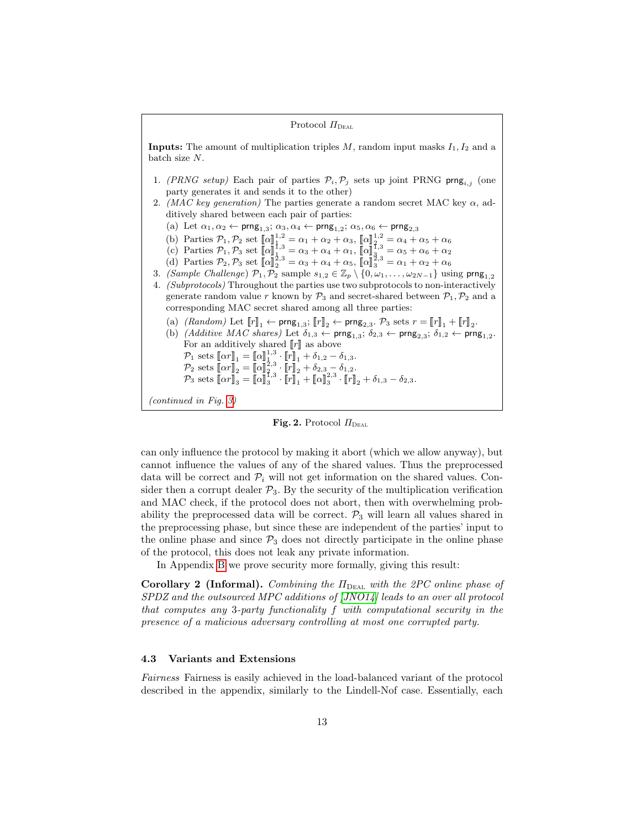# Protocol  $\Pi_{\text{Data}}$ **Inputs:** The amount of multiplication triples  $M$ , random input masks  $I_1, I_2$  and a batch size N. 1. (PRNG setup) Each pair of parties  $\mathcal{P}_i$ ,  $\mathcal{P}_j$  sets up joint PRNG prng<sub>i,j</sub> (one party generates it and sends it to the other) 2. (MAC key generation) The parties generate a random secret MAC key  $\alpha$ , additively shared between each pair of parties: (a) Let  $\alpha_1, \alpha_2 \leftarrow \textsf{prng}_{1,3}; \alpha_3, \alpha_4 \leftarrow \textsf{prng}_{1,2}; \alpha_5, \alpha_6 \leftarrow \textsf{prng}_{2,3}$ (b) Parties  $\mathcal{P}_1, \mathcal{P}_2$  set  $[\![\alpha]\!]_1^{1,2} = \alpha_1 + \alpha_2 + \alpha_3$ ,  $[\![\alpha]\!]_2^{1,2} = \alpha_4 + \alpha_5 + \alpha_6$ (c) Parties  $\mathcal{P}_1, \mathcal{P}_3$  set  $\llbracket \alpha \rrbracket_{1,3}^{1,3} = \alpha_3 + \alpha_4 + \alpha_1, \llbracket \alpha \rrbracket_{3,3}^{1,3} = \alpha_5 + \alpha_6 + \alpha_2$ (d) Parties  $\mathcal{P}_2, \mathcal{P}_3$  set  $\[\![\alpha]\!]_2^{2,3} = \alpha_3 + \alpha_4 + \alpha_5, \[\![\alpha]\!]_3^{2,3} = \alpha_1 + \alpha_2 + \alpha_6$ 3. (Sample Challenge)  $\mathcal{P}_1, \mathcal{P}_2$  sample  $s_{1,2} \in \mathbb{Z}_p \setminus \{0, \omega_1, \ldots, \omega_{2N-1}\}$  using  $\text{prng}_{1,2}$ 4. (Subprotocols) Throughout the parties use two subprotocols to non-interactively generate random value r known by  $P_3$  and secret-shared between  $P_1, P_2$  and a corresponding MAC secret shared among all three parties: (a)  $(Random)$  Let  $[\![r]\!]_1 \leftarrow \mathsf{prng}_{1,3}$ ;  $[\![r]\!]_2 \leftarrow \mathsf{prng}_{2,3}$ .  $\mathcal{P}_3$  sets  $r = [\![r]\!]_1 + [\![r]\!]_2$ . (b) (Additive MAC shares) Let  $\delta_{1,3} \leftarrow \text{prng}_{1,3}$ ;  $\delta_{2,3} \leftarrow \text{prng}_{2,3}$ ;  $\delta_{1,2} \leftarrow \text{prng}_{1,2}$ . For an additively shared  $\llbracket r \rrbracket$  as above  $\mathcal{P}_1$  sets  $[\![\alpha r]\!]_1 = [\![\alpha]\!]_1^{1,3} \cdot [\![\overline{r}]\!]_1 + \delta_{1,2} - \delta_{1,3}.$  $\mathcal{P}_2$  sets  $\[\![\alpha r]\!]_2^2 = \[\![\alpha]\!]_2^{2,3} \cdot \[\![r]\!]_2^2 + \delta_{2,3} - \delta_{1,2}.$  $\mathcal{P}_3$  sets  $\[\mathbf{r}_3\]_3 = \[\mathbf{r}_3\]_3^{\mathbf{1},3} \cdot \[\mathbf{r}_3\]_1^{\mathbf{1}} + \[\mathbf{r}_3\]_3^{\mathbf{2},3} \cdot \[\mathbf{r}_3\]_2 + \delta_{1,3} - \delta_{2,3}.$ (continued in Fig. [3\)](#page-13-0)

<span id="page-12-0"></span>Fig. 2. Protocol  $\Pi_{\text{Data}}$ 

<span id="page-12-2"></span><span id="page-12-1"></span>can only influence the protocol by making it abort (which we allow anyway), but cannot influence the values of any of the shared values. Thus the preprocessed data will be correct and  $\mathcal{P}_i$  will not get information on the shared values. Consider then a corrupt dealer  $P_3$ . By the security of the multiplication verification and MAC check, if the protocol does not abort, then with overwhelming probability the preprocessed data will be correct.  $\mathcal{P}_3$  will learn all values shared in the preprocessing phase, but since these are independent of the parties' input to the online phase and since  $\mathcal{P}_3$  does not directly participate in the online phase of the protocol, this does not leak any private information.

In Appendix [B](#page-22-1) we prove security more formally, giving this result:

Corollary 2 (Informal). Combining the  $\Pi_{\text{DEAL}}$  with the 2PC online phase of SPDZ and the outsourced MPC additions of [\[JNO14\]](#page-17-14) leads to an over all protocol that computes any 3-party functionality f with computational security in the presence of a malicious adversary controlling at most one corrupted party.

#### 4.3 Variants and Extensions

Fairness Fairness is easily achieved in the load-balanced variant of the protocol described in the appendix, similarly to the Lindell-Nof case. Essentially, each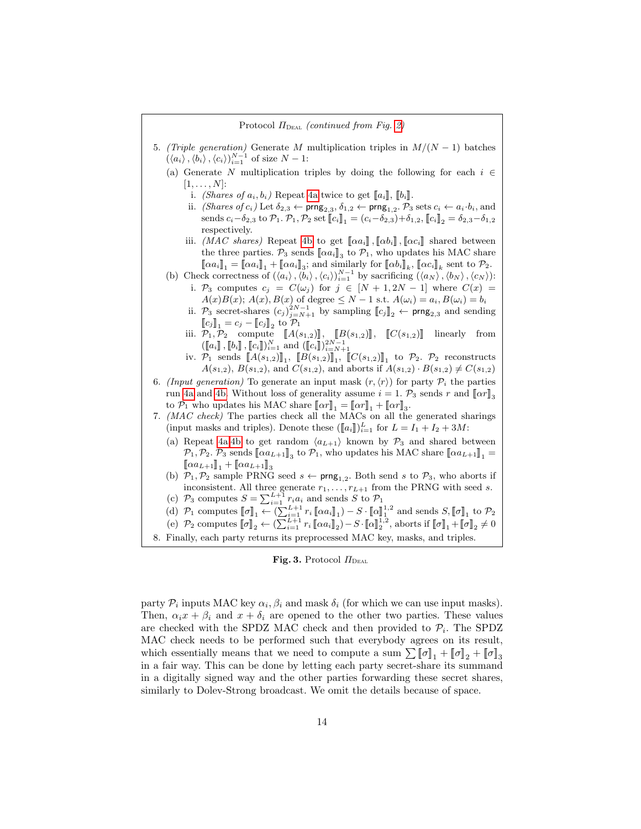

#### <span id="page-13-0"></span>Fig. 3. Protocol  $\Pi_{\text{DEAL}}$

party  $\mathcal{P}_i$  inputs MAC key  $\alpha_i, \beta_i$  and mask  $\delta_i$  (for which we can use input masks). Then,  $\alpha_i x + \beta_i$  and  $x + \delta_i$  are opened to the other two parties. These values are checked with the SPDZ MAC check and then provided to  $\mathcal{P}_i$ . The SPDZ MAC check needs to be performed such that everybody agrees on its result, which essentially means that we need to compute a sum  $\sum [\![\sigma]\!]_1 + [\![\sigma]\!]_2 + [\![\sigma]\!]_3$ in a fair way. This can be done by letting each party secret-share its summand in a digitally signed way and the other parties forwarding these secret shares, similarly to Dolev-Strong broadcast. We omit the details because of space.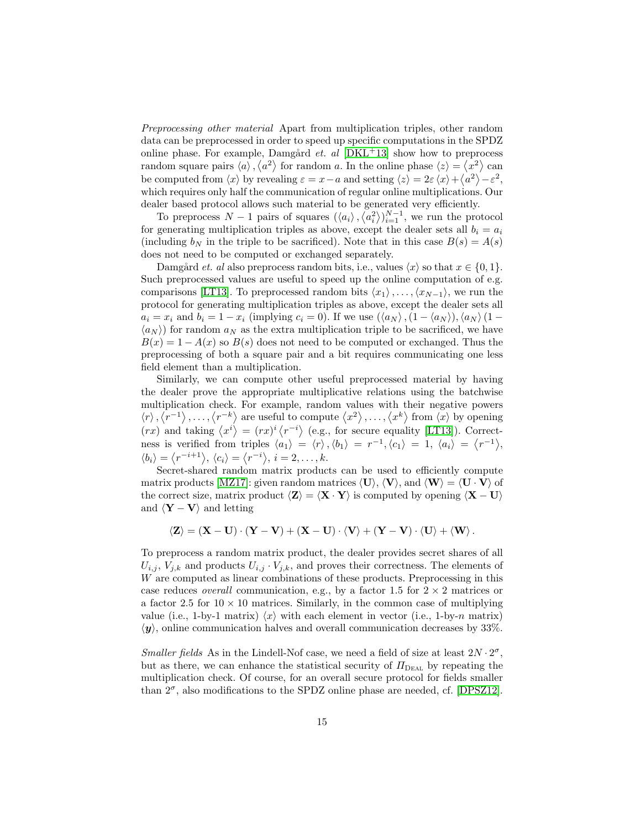Preprocessing other material Apart from multiplication triples, other random data can be preprocessed in order to speed up specific computations in the SPDZ online phase. For example, Damgård et. al  $[DKL+13]$  $[DKL+13]$  show how to preprocess random square pairs  $\langle a \rangle$ ,  $\langle a^2 \rangle$  for random a. In the online phase  $\langle z \rangle = \langle x^2 \rangle$  can be computed from  $\langle x \rangle$  by revealing  $\varepsilon = x-a$  and setting  $\langle z \rangle = 2\varepsilon \langle x \rangle + \langle a^2 \rangle - \varepsilon^2$ , which requires only half the communication of regular online multiplications. Our dealer based protocol allows such material to be generated very efficiently.

To preprocess  $N-1$  pairs of squares  $(\langle a_i \rangle, \langle a_i^2 \rangle)_{i=1}^{N-1}$ , we run the protocol for generating multiplication triples as above, except the dealer sets all  $b_i = a_i$ (including  $b_N$  in the triple to be sacrificed). Note that in this case  $B(s) = A(s)$ does not need to be computed or exchanged separately.

Damgård *et. al* also preprocess random bits, i.e., values  $\langle x \rangle$  so that  $x \in \{0, 1\}$ . Such preprocessed values are useful to speed up the online computation of e.g. comparisons [\[LT13\]](#page-17-16). To preprocessed random bits  $\langle x_1 \rangle, \ldots, \langle x_{N-1} \rangle$ , we run the protocol for generating multiplication triples as above, except the dealer sets all  $a_i = x_i$  and  $b_i = 1 - x_i$  (implying  $c_i = 0$ ). If we use  $(\langle a_N \rangle, (1 - \langle a_N \rangle), \langle a_N \rangle)$  (1 –  $\langle a_N \rangle$  for random  $a_N$  as the extra multiplication triple to be sacrificed, we have  $B(x) = 1 - A(x)$  so  $B(s)$  does not need to be computed or exchanged. Thus the preprocessing of both a square pair and a bit requires communicating one less field element than a multiplication.

Similarly, we can compute other useful preprocessed material by having the dealer prove the appropriate multiplicative relations using the batchwise multiplication check. For example, random values with their negative powers  $\langle r \rangle, \langle r^{-1} \rangle, \ldots, \langle r^{-k} \rangle$  are useful to compute  $\langle x^2 \rangle, \ldots, \langle x^k \rangle$  from  $\langle x \rangle$  by opening  $(rx)$  and taking  $\langle x^i \rangle = (rx)^i \langle r^{-i} \rangle$  (e.g., for secure equality [\[LT13\]](#page-17-16)). Correctness is verified from triples  $\langle a_1 \rangle = \langle r \rangle, \langle b_1 \rangle = r^{-1}, \langle c_1 \rangle = 1, \langle a_i \rangle = \langle r^{-1} \rangle,$  $\langle b_i \rangle = \langle r^{-i+1} \rangle, \, \langle c_i \rangle = \langle r^{-i} \rangle, \, i = 2, \dots, k.$ 

Secret-shared random matrix products can be used to efficiently compute matrix products [\[MZ17\]](#page-17-17): given random matrices  $\langle \mathbf{U} \rangle$ ,  $\langle \mathbf{V} \rangle$ , and  $\langle \mathbf{W} \rangle = \langle \mathbf{U} \cdot \mathbf{V} \rangle$  of the correct size, matrix product  $\langle \mathbf{Z} \rangle = \langle \mathbf{X} \cdot \mathbf{Y} \rangle$  is computed by opening  $\langle \mathbf{X} - \mathbf{U} \rangle$ and  $\langle \mathbf{Y} - \mathbf{V} \rangle$  and letting

$$
\left\langle \mathbf{Z} \right\rangle = \left( \mathbf{X} - \mathbf{U} \right) \cdot \left( \mathbf{Y} - \mathbf{V} \right) + \left( \mathbf{X} - \mathbf{U} \right) \cdot \left\langle \mathbf{V} \right\rangle + \left( \mathbf{Y} - \mathbf{V} \right) \cdot \left\langle \mathbf{U} \right\rangle + \left\langle \mathbf{W} \right\rangle.
$$

To preprocess a random matrix product, the dealer provides secret shares of all  $U_{i,j}, V_{j,k}$  and products  $U_{i,j} \cdot V_{j,k}$ , and proves their correctness. The elements of W are computed as linear combinations of these products. Preprocessing in this case reduces *overall* communication, e.g., by a factor 1.5 for  $2 \times 2$  matrices or a factor 2.5 for  $10 \times 10$  matrices. Similarly, in the common case of multiplying value (i.e., 1-by-1 matrix)  $\langle x \rangle$  with each element in vector (i.e., 1-by-n matrix)  $\langle y \rangle$ , online communication halves and overall communication decreases by 33%.

Smaller fields As in the Lindell-Nof case, we need a field of size at least  $2N \cdot 2^{\sigma}$ , but as there, we can enhance the statistical security of  $\Pi_{\text{DEAL}}$  by repeating the multiplication check. Of course, for an overall secure protocol for fields smaller than  $2^{\sigma}$ , also modifications to the SPDZ online phase are needed, cf. [\[DPSZ12\]](#page-17-3).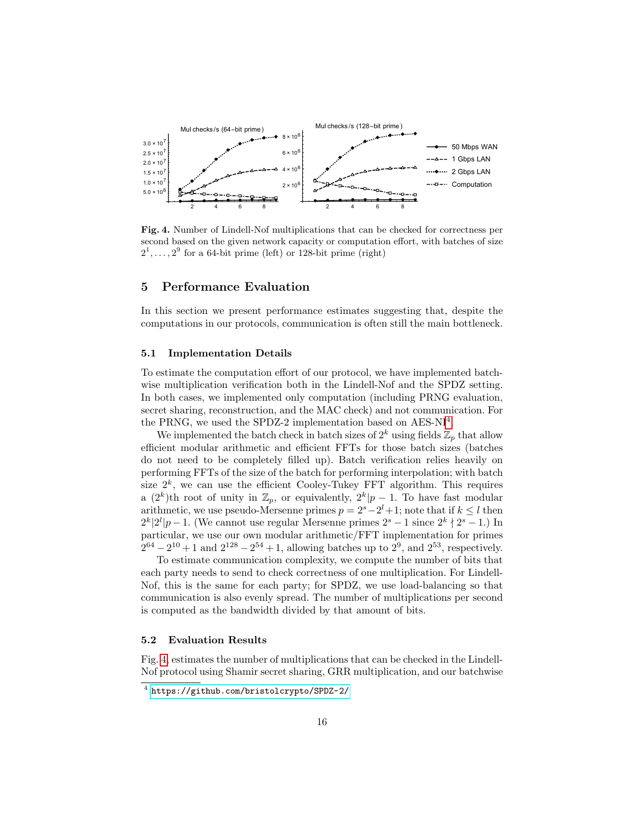

<span id="page-15-2"></span>Fig. 4. Number of Lindell-Nof multiplications that can be checked for correctness per second based on the given network capacity or computation effort, with batches of size  $2^1, \ldots, 2^9$  for a 64-bit prime (left) or 128-bit prime (right)

# <span id="page-15-0"></span>5 Performance Evaluation

In this section we present performance estimates suggesting that, despite the computations in our protocols, communication is often still the main bottleneck.

#### 5.1 Implementation Details

To estimate the computation effort of our protocol, we have implemented batchwise multiplication verification both in the Lindell-Nof and the SPDZ setting. In both cases, we implemented only computation (including PRNG evaluation, secret sharing, reconstruction, and the MAC check) and not communication. For the PRNG, we used the SPDZ-2 implementation based on AES-NI<sup>[4](#page-15-1)</sup>.

We implemented the batch check in batch sizes of  $2^k$  using fields  $\mathbb{Z}_p$  that allow efficient modular arithmetic and efficient FFTs for those batch sizes (batches do not need to be completely filled up). Batch verification relies heavily on performing FFTs of the size of the batch for performing interpolation; with batch size  $2^k$ , we can use the efficient Cooley-Tukey FFT algorithm. This requires a  $(2^k)$ th root of unity in  $\mathbb{Z}_p$ , or equivalently,  $2^k|p-1$ . To have fast modular arithmetic, we use pseudo-Mersenne primes  $p = 2<sup>s</sup> - 2<sup>l</sup> + 1$ ; note that if  $k \leq l$  then  $2^{k} |2^{l} | p - 1$ . (We cannot use regular Mersenne primes  $2^{s} - 1$  since  $2^{k} \nmid 2^{s} - 1$ .) In particular, we use our own modular arithmetic/FFT implementation for primes  $2^{64} - 2^{10} + 1$  and  $2^{128} - 2^{54} + 1$ , allowing batches up to  $2^9$ , and  $2^{53}$ , respectively.

To estimate communication complexity, we compute the number of bits that each party needs to send to check correctness of one multiplication. For Lindell-Nof, this is the same for each party; for SPDZ, we use load-balancing so that communication is also evenly spread. The number of multiplications per second is computed as the bandwidth divided by that amount of bits.

#### 5.2 Evaluation Results

Fig. [4,](#page-15-2) estimates the number of multiplications that can be checked in the Lindell-Nof protocol using Shamir secret sharing, GRR multiplication, and our batchwise

<span id="page-15-1"></span><sup>4</sup> <https://github.com/bristolcrypto/SPDZ-2/>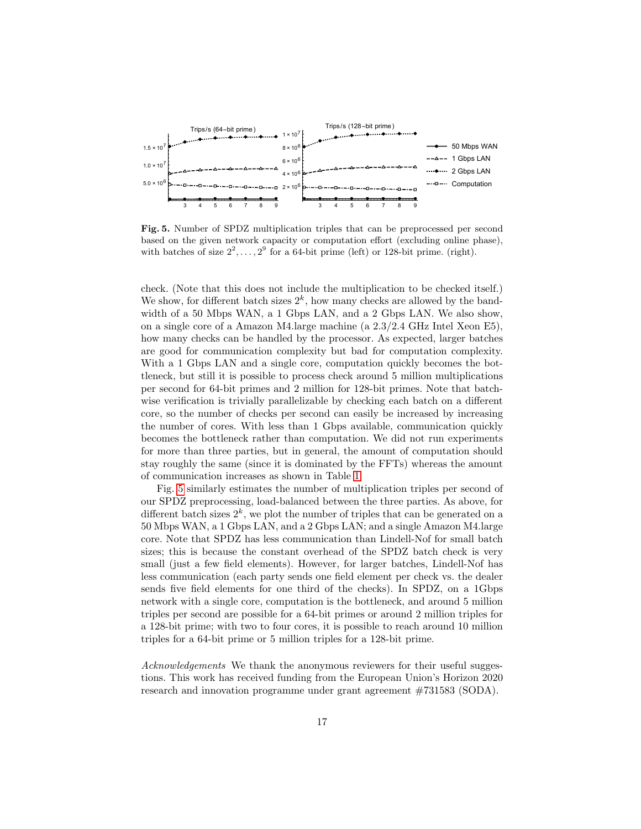

<span id="page-16-0"></span>Fig. 5. Number of SPDZ multiplication triples that can be preprocessed per second based on the given network capacity or computation effort (excluding online phase), with batches of size  $2^2, \ldots, 2^9$  for a 64-bit prime (left) or 128-bit prime. (right).

check. (Note that this does not include the multiplication to be checked itself.) We show, for different batch sizes  $2^k$ , how many checks are allowed by the bandwidth of a 50 Mbps WAN, a 1 Gbps LAN, and a 2 Gbps LAN. We also show, on a single core of a Amazon M4.large machine (a 2.3/2.4 GHz Intel Xeon E5), how many checks can be handled by the processor. As expected, larger batches are good for communication complexity but bad for computation complexity. With a 1 Gbps LAN and a single core, computation quickly becomes the bottleneck, but still it is possible to process check around 5 million multiplications per second for 64-bit primes and 2 million for 128-bit primes. Note that batchwise verification is trivially parallelizable by checking each batch on a different core, so the number of checks per second can easily be increased by increasing the number of cores. With less than 1 Gbps available, communication quickly becomes the bottleneck rather than computation. We did not run experiments for more than three parties, but in general, the amount of computation should stay roughly the same (since it is dominated by the FFTs) whereas the amount of communication increases as shown in Table [1.](#page-8-1)

Fig. [5](#page-16-0) similarly estimates the number of multiplication triples per second of our SPDZ preprocessing, load-balanced between the three parties. As above, for different batch sizes  $2^k$ , we plot the number of triples that can be generated on a 50 Mbps WAN, a 1 Gbps LAN, and a 2 Gbps LAN; and a single Amazon M4.large core. Note that SPDZ has less communication than Lindell-Nof for small batch sizes; this is because the constant overhead of the SPDZ batch check is very small (just a few field elements). However, for larger batches, Lindell-Nof has less communication (each party sends one field element per check vs. the dealer sends five field elements for one third of the checks). In SPDZ, on a 1Gbps network with a single core, computation is the bottleneck, and around 5 million triples per second are possible for a 64-bit primes or around 2 million triples for a 128-bit prime; with two to four cores, it is possible to reach around 10 million triples for a 64-bit prime or 5 million triples for a 128-bit prime.

Acknowledgements We thank the anonymous reviewers for their useful suggestions. This work has received funding from the European Union's Horizon 2020 research and innovation programme under grant agreement #731583 (SODA).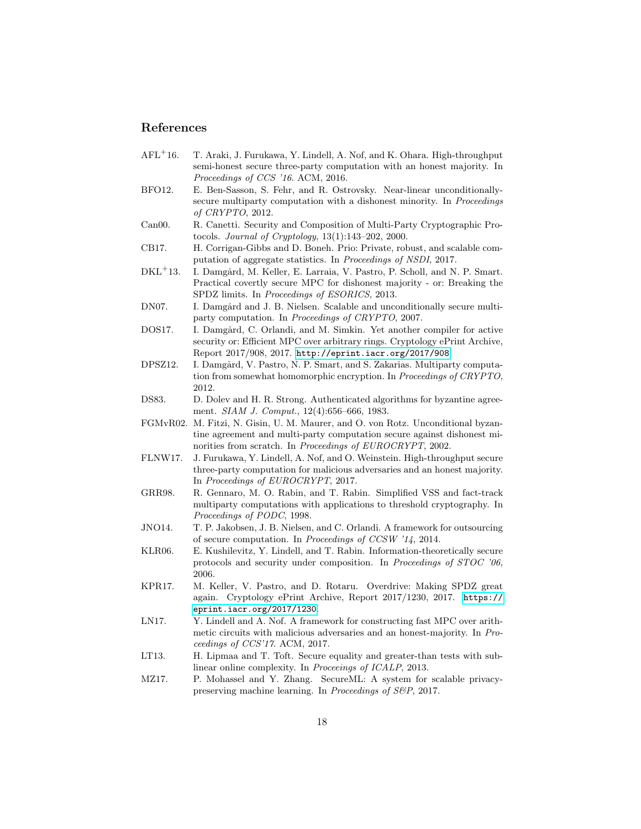# References

- <span id="page-17-11"></span>AFL<sup>+</sup>16. T. Araki, J. Furukawa, Y. Lindell, A. Nof, and K. Ohara. High-throughput semi-honest secure three-party computation with an honest majority. In Proceedings of CCS '16. ACM, 2016.
- <span id="page-17-2"></span>BFO12. E. Ben-Sasson, S. Fehr, and R. Ostrovsky. Near-linear unconditionallysecure multiparty computation with a dishonest minority. In Proceedings of CRYPTO, 2012.
- <span id="page-17-7"></span>Can00. R. Canetti. Security and Composition of Multi-Party Cryptographic Protocols. Journal of Cryptology, 13(1):143–202, 2000.
- <span id="page-17-6"></span>CB17. H. Corrigan-Gibbs and D. Boneh. Prio: Private, robust, and scalable computation of aggregate statistics. In Proceedings of NSDI, 2017.
- <span id="page-17-15"></span>DKL<sup>+</sup>13. I. Damgård, M. Keller, E. Larraia, V. Pastro, P. Scholl, and N. P. Smart. Practical covertly secure MPC for dishonest majority - or: Breaking the SPDZ limits. In Proceedings of ESORICS, 2013.
- <span id="page-17-10"></span>DN07. I. Damgård and J. B. Nielsen. Scalable and unconditionally secure multiparty computation. In Proceedings of CRYPTO, 2007.
- <span id="page-17-5"></span>DOS17. I. Damgård, C. Orlandi, and M. Simkin. Yet another compiler for active security or: Efficient MPC over arbitrary rings. Cryptology ePrint Archive, Report 2017/908, 2017. <http://eprint.iacr.org/2017/908>.
- <span id="page-17-3"></span>DPSZ12. I. Damgård, V. Pastro, N. P. Smart, and S. Zakarias. Multiparty computation from somewhat homomorphic encryption. In Proceedings of CRYPTO, 2012.
- <span id="page-17-13"></span>DS83. D. Dolev and H. R. Strong. Authenticated algorithms for byzantine agreement. *SIAM J. Comput.*, 12(4):656–666, 1983.
- <span id="page-17-12"></span>FGMvR02. M. Fitzi, N. Gisin, U. M. Maurer, and O. von Rotz. Unconditional byzantine agreement and multi-party computation secure against dishonest minorities from scratch. In Proceedings of EUROCRYPT, 2002.
- <span id="page-17-0"></span>FLNW17. J. Furukawa, Y. Lindell, A. Nof, and O. Weinstein. High-throughput secure three-party computation for malicious adversaries and an honest majority. In Proceedings of EUROCRYPT, 2017.
- <span id="page-17-9"></span>GRR98. R. Gennaro, M. O. Rabin, and T. Rabin. Simplified VSS and fact-track multiparty computations with applications to threshold cryptography. In Proceedings of PODC, 1998.
- <span id="page-17-14"></span>JNO14. T. P. Jakobsen, J. B. Nielsen, and C. Orlandi. A framework for outsourcing of secure computation. In Proceedings of CCSW '14, 2014.
- <span id="page-17-8"></span>KLR06. E. Kushilevitz, Y. Lindell, and T. Rabin. Information-theoretically secure protocols and security under composition. In Proceedings of STOC '06, 2006.
- <span id="page-17-4"></span>KPR17. M. Keller, V. Pastro, and D. Rotaru. Overdrive: Making SPDZ great again. Cryptology ePrint Archive, Report 2017/1230, 2017. [https://](https://eprint.iacr.org/2017/1230) [eprint.iacr.org/2017/1230](https://eprint.iacr.org/2017/1230).
- <span id="page-17-1"></span>LN17. Y. Lindell and A. Nof. A framework for constructing fast MPC over arithmetic circuits with malicious adversaries and an honest-majority. In Proceedings of CCS'17. ACM, 2017.
- <span id="page-17-16"></span>LT13. H. Lipmaa and T. Toft. Secure equality and greater-than tests with sublinear online complexity. In Proceeings of ICALP, 2013.
- <span id="page-17-17"></span>MZ17. P. Mohassel and Y. Zhang. SecureML: A system for scalable privacypreserving machine learning. In Proceedings of S&P, 2017.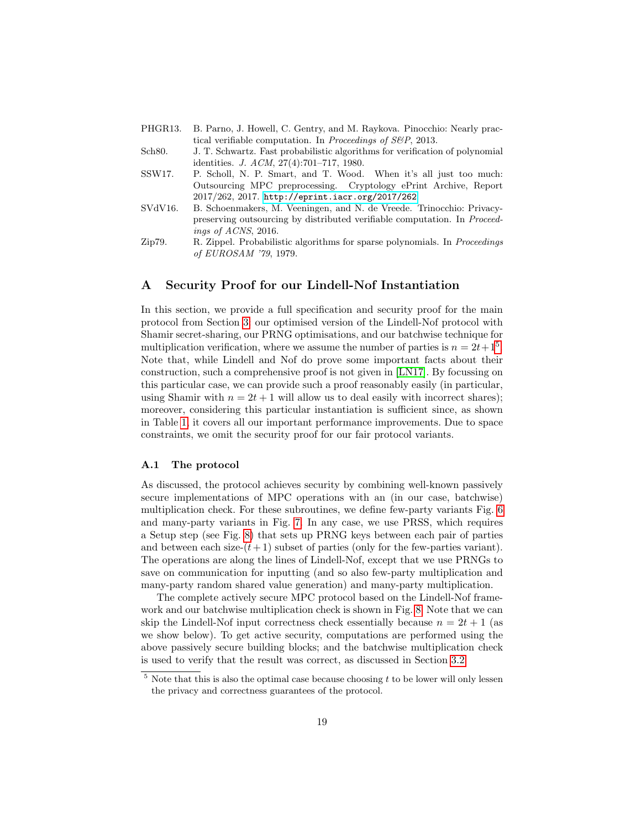<span id="page-18-0"></span>

|                   | PHGR13. B. Parno, J. Howell, C. Gentry, and M. Raykova. Pinocchio: Nearly prac- |  |  |  |  |
|-------------------|---------------------------------------------------------------------------------|--|--|--|--|
|                   | tical verifiable computation. In Proceedings of S&P, 2013.                      |  |  |  |  |
| $\alpha$ $\alpha$ |                                                                                 |  |  |  |  |

- <span id="page-18-3"></span>Sch80. J. T. Schwartz. Fast probabilistic algorithms for verification of polynomial identities. J. ACM, 27(4):701–717, 1980.
- <span id="page-18-6"></span>SSW17. P. Scholl, N. P. Smart, and T. Wood. When it's all just too much: Outsourcing MPC preprocessing. Cryptology ePrint Archive, Report 2017/262, 2017. <http://eprint.iacr.org/2017/262>.
- <span id="page-18-1"></span>SVdV16. B. Schoenmakers, M. Veeningen, and N. de Vreede. Trinocchio: Privacypreserving outsourcing by distributed verifiable computation. In Proceedings of ACNS, 2016.
- <span id="page-18-2"></span>Zip79. R. Zippel. Probabilistic algorithms for sparse polynomials. In Proceedings of EUROSAM '79, 1979.

# <span id="page-18-4"></span>A Security Proof for our Lindell-Nof Instantiation

In this section, we provide a full specification and security proof for the main protocol from Section [3:](#page-4-0) our optimised version of the Lindell-Nof protocol with Shamir secret-sharing, our PRNG optimisations, and our batchwise technique for multiplication verification, where we assume the number of parties is  $n = 2t + 1<sup>5</sup>$  $n = 2t + 1<sup>5</sup>$  $n = 2t + 1<sup>5</sup>$ . Note that, while Lindell and Nof do prove some important facts about their construction, such a comprehensive proof is not given in [\[LN17\]](#page-17-1). By focussing on this particular case, we can provide such a proof reasonably easily (in particular, using Shamir with  $n = 2t + 1$  will allow us to deal easily with incorrect shares); moreover, considering this particular instantiation is sufficient since, as shown in Table [1,](#page-8-1) it covers all our important performance improvements. Due to space constraints, we omit the security proof for our fair protocol variants.

# A.1 The protocol

As discussed, the protocol achieves security by combining well-known passively secure implementations of MPC operations with an (in our case, batchwise) multiplication check. For these subroutines, we define few-party variants Fig. [6](#page-19-0) and many-party variants in Fig. [7.](#page-20-0) In any case, we use PRSS, which requires a Setup step (see Fig. [8\)](#page-20-1) that sets up PRNG keys between each pair of parties and between each size- $(t+1)$  subset of parties (only for the few-parties variant). The operations are along the lines of Lindell-Nof, except that we use PRNGs to save on communication for inputting (and so also few-party multiplication and many-party random shared value generation) and many-party multiplication.

The complete actively secure MPC protocol based on the Lindell-Nof framework and our batchwise multiplication check is shown in Fig. [8.](#page-20-1) Note that we can skip the Lindell-Nof input correctness check essentially because  $n = 2t + 1$  (as we show below). To get active security, computations are performed using the above passively secure building blocks; and the batchwise multiplication check is used to verify that the result was correct, as discussed in Section [3.2.](#page-5-1)

<span id="page-18-5"></span> $5$  Note that this is also the optimal case because choosing t to be lower will only lessen the privacy and correctness guarantees of the protocol.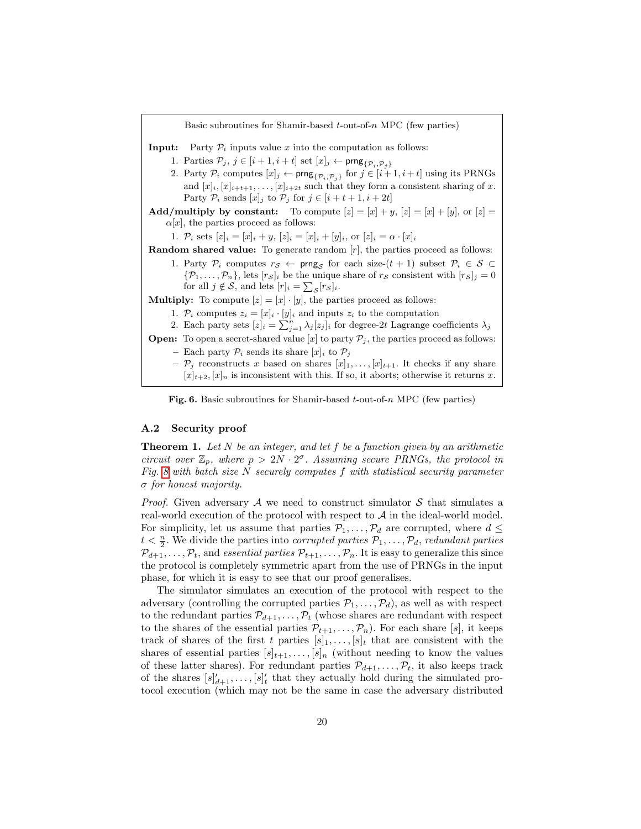

<span id="page-19-0"></span>Fig. 6. Basic subroutines for Shamir-based  $t$ -out-of-n MPC (few parties)

# A.2 Security proof

**Theorem 1.** Let  $N$  be an integer, and let  $f$  be a function given by an arithmetic circuit over  $\mathbb{Z}_p$ , where  $p > 2N \cdot 2^{\sigma}$ . Assuming secure PRNGs, the protocol in Fig. [8](#page-20-1) with batch size  $N$  securely computes  $f$  with statistical security parameter  $\sigma$  for honest majority.

*Proof.* Given adversary  $A$  we need to construct simulator  $S$  that simulates a real-world execution of the protocol with respect to  $A$  in the ideal-world model. For simplicity, let us assume that parties  $P_1, \ldots, P_d$  are corrupted, where  $d \leq$  $t < \frac{n}{2}$ . We divide the parties into *corrupted parties*  $P_1, \ldots, P_d$ , *redundant parties*  $\mathcal{P}_{d+1}, \ldots, \mathcal{P}_t$ , and essential parties  $\mathcal{P}_{t+1}, \ldots, \mathcal{P}_n$ . It is easy to generalize this since the protocol is completely symmetric apart from the use of PRNGs in the input phase, for which it is easy to see that our proof generalises.

The simulator simulates an execution of the protocol with respect to the adversary (controlling the corrupted parties  $\mathcal{P}_1, \ldots, \mathcal{P}_d$ ), as well as with respect to the redundant parties  $\mathcal{P}_{d+1}, \ldots, \mathcal{P}_t$  (whose shares are redundant with respect to the shares of the essential parties  $\mathcal{P}_{t+1}, \ldots, \mathcal{P}_n$ ). For each share [s], it keeps track of shares of the first t parties  $[s]_1, \ldots, [s]_t$  that are consistent with the shares of essential parties  $[s]_{t+1}, \ldots, [s]_n$  (without needing to know the values of these latter shares). For redundant parties  $\mathcal{P}_{d+1}, \ldots, \mathcal{P}_t$ , it also keeps track of the shares  $[s]'_{d+1}, \ldots, [s]'_{t}$  that they actually hold during the simulated protocol execution (which may not be the same in case the adversary distributed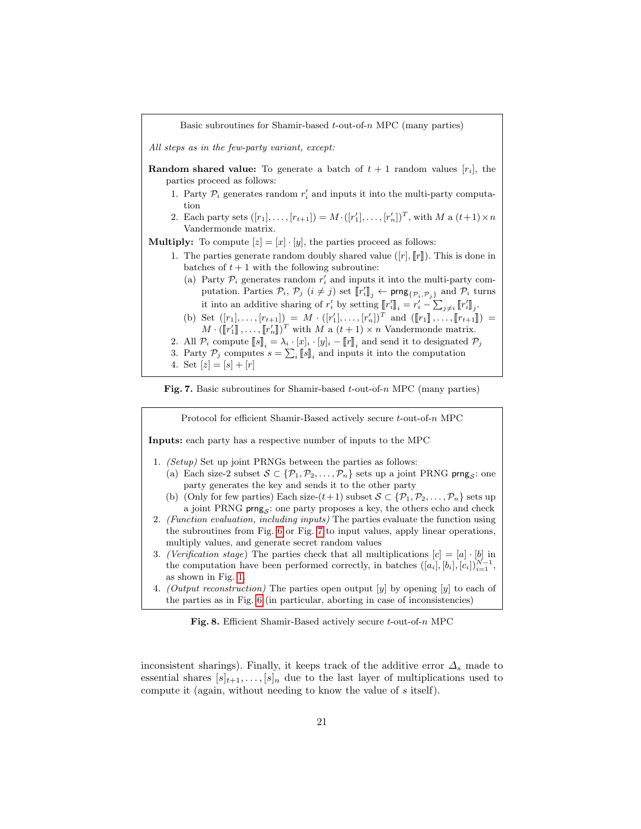

<span id="page-20-0"></span>**Fig. 7.** Basic subroutines for Shamir-based t-out-of-n MPC (many parties)

Protocol for efficient Shamir-Based actively secure t-out-of-n MPC

Inputs: each party has a respective number of inputs to the MPC

- 1. (Setup) Set up joint PRNGs between the parties as follows:
	- (a) Each size-2 subset  $S \subset \{P_1, P_2, \ldots, P_n\}$  sets up a joint PRNG prng<sub>s</sub>: one party generates the key and sends it to the other party
	- (b) (Only for few parties) Each size- $(t+1)$  subset  $S \subset \{P_1, P_2, \ldots, P_n\}$  sets up a joint PRNG prng<sub>s</sub>: one party proposes a key, the others echo and check
- 2. (Function evaluation, including inputs) The parties evaluate the function using the subroutines from Fig. [6](#page-19-0) or Fig. [7](#page-20-0) to input values, apply linear operations, multiply values, and generate secret random values
- 3. (Verification stage) The parties check that all multiplications  $[c] = [a] \cdot [b]$  in the computation have been performed correctly, in batches  $([a_i], [b_i], [c_i])_{i=1}^{N-1}$ , as shown in Fig. [1.](#page-6-0)
- 4. *(Output reconstruction)* The parties open output  $[y]$  by opening  $[y]$  to each of the parties as in Fig. [6](#page-19-0) (in particular, aborting in case of inconsistencies)

<span id="page-20-1"></span>Fig. 8. Efficient Shamir-Based actively secure  $t$ -out-of-n MPC

inconsistent sharings). Finally, it keeps track of the additive error  $\Delta_s$  made to essential shares  $[s]_{t+1}, \ldots, [s]_n$  due to the last layer of multiplications used to compute it (again, without needing to know the value of s itself).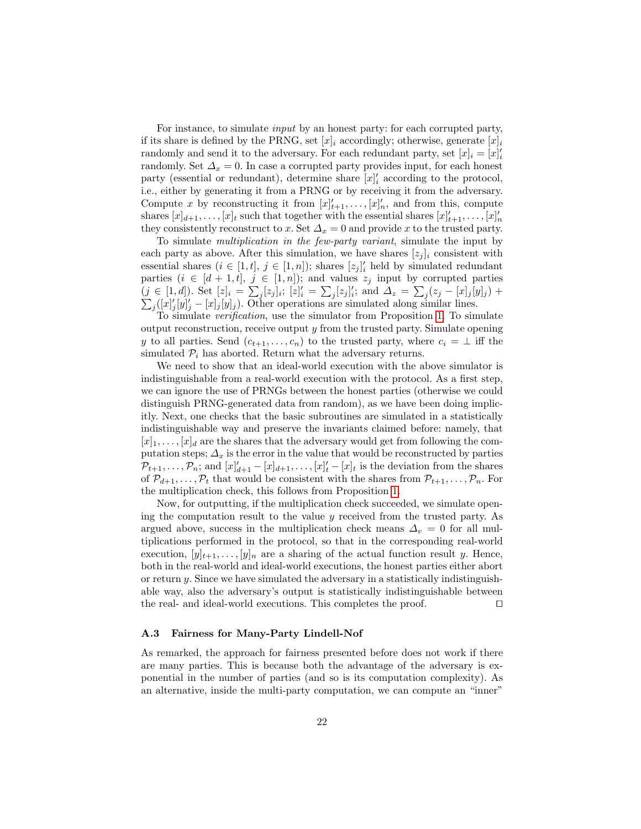For instance, to simulate input by an honest party: for each corrupted party, if its share is defined by the PRNG, set  $[x]_i$  accordingly; otherwise, generate  $[x]_i$ randomly and send it to the adversary. For each redundant party, set  $[x]_i = [x]_i'$ randomly. Set  $\Delta_x = 0$ . In case a corrupted party provides input, for each honest party (essential or redundant), determine share  $[x]_i'$  according to the protocol, i.e., either by generating it from a PRNG or by receiving it from the adversary. Compute x by reconstructing it from  $[x]_{t+1}', \ldots, [x]_n'$ , and from this, compute shares  $[x]_{d+1}, \ldots, [x]_t$  such that together with the essential shares  $[x]_{t+1}', \ldots, [x]_n'$ they consistently reconstruct to x. Set  $\Delta_x = 0$  and provide x to the trusted party.

To simulate multiplication in the few-party variant, simulate the input by each party as above. After this simulation, we have shares  $[z_j]_i$  consistent with essential shares  $(i \in [1, t], j \in [1, n])$ ; shares  $[z_j]_i$  held by simulated redundant parties  $(i \in [d+1,t], j \in [1,n])$ ; and values  $z_j$  input by corrupted parties  $(j \in [1,d])$ . Set  $[z]_i = \sum_j [z_j]_i$ ;  $[z]_i' = \sum_j [z_j]_i'$ ; and  $\Delta_z = \sum_j (z_j - [x]_j [y]_j)$  +  $\sum_j ([x]^j_j[y]^j_j - [x]^j_j[y])$ . Other operations are simulated along similar lines.

To simulate verification, use the simulator from Proposition [1.](#page-6-1) To simulate output reconstruction, receive output  $y$  from the trusted party. Simulate opening y to all parties. Send  $(c_{t+1}, \ldots, c_n)$  to the trusted party, where  $c_i = \perp$  iff the simulated  $P_i$  has aborted. Return what the adversary returns.

We need to show that an ideal-world execution with the above simulator is indistinguishable from a real-world execution with the protocol. As a first step, we can ignore the use of PRNGs between the honest parties (otherwise we could distinguish PRNG-generated data from random), as we have been doing implicitly. Next, one checks that the basic subroutines are simulated in a statistically indistinguishable way and preserve the invariants claimed before: namely, that  $[x]_1, \ldots, [x]_d$  are the shares that the adversary would get from following the computation steps;  $\Delta_x$  is the error in the value that would be reconstructed by parties  $\mathcal{P}_{t+1}, \ldots, \mathcal{P}_n$ ; and  $[x]_{d+1}' - [x]_{d+1}, \ldots, [x]_t' - [x]_t$  is the deviation from the shares of  $\mathcal{P}_{d+1}, \ldots, \mathcal{P}_t$  that would be consistent with the shares from  $\mathcal{P}_{t+1}, \ldots, \mathcal{P}_n$ . For the multiplication check, this follows from Proposition [1.](#page-6-1)

Now, for outputting, if the multiplication check succeeded, we simulate opening the computation result to the value  $y$  received from the trusted party. As argued above, success in the multiplication check means  $\Delta_v = 0$  for all multiplications performed in the protocol, so that in the corresponding real-world execution,  $|y|_{t+1}, \ldots, |y|_n$  are a sharing of the actual function result y. Hence, both in the real-world and ideal-world executions, the honest parties either abort or return y. Since we have simulated the adversary in a statistically indistinguishable way, also the adversary's output is statistically indistinguishable between the real- and ideal-world executions. This completes the proof.  $\Box$ 

### <span id="page-21-0"></span>A.3 Fairness for Many-Party Lindell-Nof

As remarked, the approach for fairness presented before does not work if there are many parties. This is because both the advantage of the adversary is exponential in the number of parties (and so is its computation complexity). As an alternative, inside the multi-party computation, we can compute an "inner"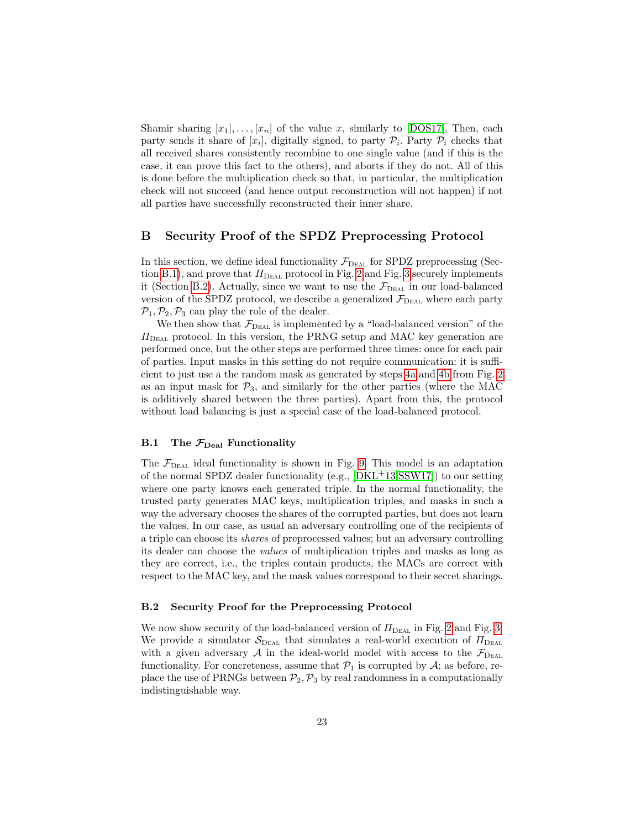Shamir sharing  $[x_1], \ldots, [x_n]$  of the value x, similarly to [\[DOS17\]](#page-17-5). Then, each party sends it share of  $[x_i]$ , digitally signed, to party  $\mathcal{P}_i$ . Party  $\mathcal{P}_i$  checks that all received shares consistently recombine to one single value (and if this is the case, it can prove this fact to the others), and aborts if they do not. All of this is done before the multiplication check so that, in particular, the multiplication check will not succeed (and hence output reconstruction will not happen) if not all parties have successfully reconstructed their inner share.

# <span id="page-22-1"></span>B Security Proof of the SPDZ Preprocessing Protocol

In this section, we define ideal functionality  $\mathcal{F}_{\text{DEAL}}$  for SPDZ preprocessing (Sec-tion [B.1\)](#page-22-0), and prove that  $\Pi_{\text{DEAL}}$  protocol in Fig. [2](#page-12-0) and Fig. [3](#page-13-0) securely implements it (Section [B.2\)](#page-22-2). Actually, since we want to use the  $\mathcal{F}_{\text{Data}}$  in our load-balanced version of the SPDZ protocol, we describe a generalized  $\mathcal{F}_{\text{DEAL}}$  where each party  $\mathcal{P}_1,\mathcal{P}_2,\mathcal{P}_3$  can play the role of the dealer.

We then show that  $\mathcal{F}_{\text{DEAL}}$  is implemented by a "load-balanced version" of the  $\Pi_{\text{DEAL}}$  protocol. In this version, the PRNG setup and MAC key generation are performed once, but the other steps are performed three times: once for each pair of parties. Input masks in this setting do not require communication: it is sufficient to just use a the random mask as generated by steps [4a](#page-12-1) and [4b](#page-12-2) from Fig. [2](#page-12-0) as an input mask for  $P_3$ , and similarly for the other parties (where the MAC is additively shared between the three parties). Apart from this, the protocol without load balancing is just a special case of the load-balanced protocol.

# <span id="page-22-0"></span>B.1 The  $\mathcal{F}_{\text{Deal}}$  Functionality

The  $\mathcal{F}_{\text{DEAL}}$  ideal functionality is shown in Fig. [9.](#page-23-0) This model is an adaptation of the normal SPDZ dealer functionality (e.g., [\[DKL](#page-17-15)+13[,SSW17\]](#page-18-6)) to our setting where one party knows each generated triple. In the normal functionality, the trusted party generates MAC keys, multiplication triples, and masks in such a way the adversary chooses the shares of the corrupted parties, but does not learn the values. In our case, as usual an adversary controlling one of the recipients of a triple can choose its shares of preprocessed values; but an adversary controlling its dealer can choose the values of multiplication triples and masks as long as they are correct, i.e., the triples contain products, the MACs are correct with respect to the MAC key, and the mask values correspond to their secret sharings.

### <span id="page-22-2"></span>B.2 Security Proof for the Preprocessing Protocol

We now show security of the load-balanced version of  $\Pi_{\text{DEAL}}$  in Fig. [2](#page-12-0) and Fig. [3.](#page-13-0) We provide a simulator  $S_{\text{DEAL}}$  that simulates a real-world execution of  $\Pi_{\text{DEAL}}$ with a given adversary A in the ideal-world model with access to the  $\mathcal{F}_{\text{DEAL}}$ functionality. For concreteness, assume that  $P_1$  is corrupted by  $A_i$ ; as before, replace the use of PRNGs between  $\mathcal{P}_2, \mathcal{P}_3$  by real randomness in a computationally indistinguishable way.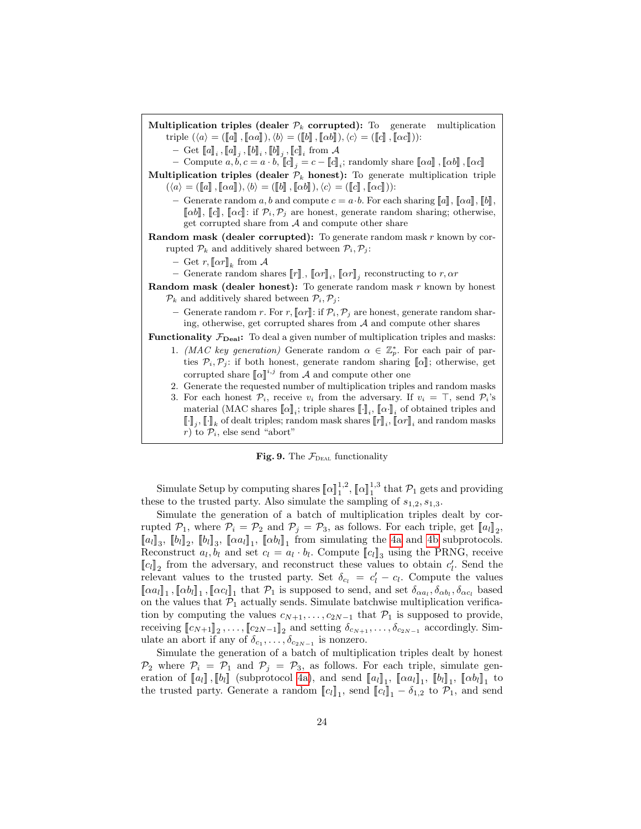Multiplication triples (dealer  $P_k$  corrupted): To generate multiplication triple  $(\langle a \rangle = (\llbracket a \rrbracket, \llbracket \alpha a \rrbracket), \langle b \rangle = (\llbracket b \rrbracket, \llbracket \alpha b \rrbracket), \langle c \rangle = (\llbracket c \rrbracket, \llbracket \alpha c \rrbracket))$ :  $- \;\mathrm{Get}\; \llbracket a \rrbracket_i$  ,  $\llbracket a \rrbracket_j$  ,  $\llbracket b \rrbracket_i$  ,  $\llbracket b \rrbracket_j$  ,  $\llbracket c \rrbracket_i$  from  $\mathcal A$ - Compute  $a, b, c = a \cdot b$ ,  $[[c]]_j = c - [[c]]_i$ ; randomly share  $[[\alpha a]]$ ,  $[[\alpha b]]$ ,  $[[\alpha c]]$ Multiplication triples (dealer  $\mathcal{P}_k$  honest): To generate multiplication triple  $(\langle a \rangle = (\llbracket a \rrbracket, \llbracket \alpha a \rrbracket), \langle b \rangle = (\llbracket b \rrbracket, \llbracket \alpha b \rrbracket), \langle c \rangle = (\llbracket c \rrbracket, \llbracket \alpha c \rrbracket)).$ Generate random a, b and compute  $c = a \cdot b$ . For each sharing  $\llbracket a \rrbracket$ ,  $\llbracket \alpha a \rrbracket$ ,  $\llbracket b \rrbracket$ ,  $\llbracket \alpha b \rrbracket$ ,  $\llbracket c \rrbracket$ ,  $\llbracket \alpha c \rrbracket$ : if  $\mathcal{P}_i$ ,  $\mathcal{P}_j$  are honest, generate random sharing; otherwise, get corrupted share from  $A$  and compute other share **Random mask (dealer corrupted):** To generate random mask  $r$  known by corrupted  $P_k$  and additively shared between  $P_i, P_j$ :  $-$  Get  $r, [\![\alpha r]\!]_k$  from  $\mathcal A$ - Generate random shares  $\llbracket r \rrbracket_i$ ,  $\llbracket \alpha r \rrbracket_i$ ,  $\llbracket \alpha r \rrbracket_j$  reconstructing to  $r, \alpha r$ Random mask (dealer honest): To generate random mask  $r$  known by honest  $\mathcal{P}_k$  and additively shared between  $\mathcal{P}_i, \mathcal{P}_j$ : – Generate random r. For r,  $\llbracket \alpha r \rrbracket$ : if  $\mathcal{P}_i$ ,  $\mathcal{P}_j$  are honest, generate random sharing, otherwise, get corrupted shares from  $A$  and compute other shares **Functionality**  $\mathcal{F}_{\text{Deal}}$ : To deal a given number of multiplication triples and masks:

- 1. (MAC key generation) Generate random  $\alpha \in \mathbb{Z}_p^*$ . For each pair of parties  $\mathcal{P}_i, \mathcal{P}_j$ : if both honest, generate random sharing  $[\![\alpha]\!]$ ; otherwise, get corrupted share  $\llbracket \alpha \rrbracket^{i,j}$  from A and compute other one
- 2. Generate the requested number of multiplication triples and random masks
- 3. For each honest  $\mathcal{P}_i$ , receive  $v_i$  from the adversary. If  $v_i = \top$ , send  $\mathcal{P}_i$ 's material (MAC shares  $[\![\alpha]\!]_i$ ; triple shares  $[\![\cdot]\!]_i$ ,  $[\![\alpha \cdot]\!]_i$  of obtained triples and  $[\![\cdot]\!]_j, [\![\cdot]\!]_k$  of dealt triples; random mask shares  $[\![r]\!]_i, [\![\alpha r]\!]_i$  and random masks r) to  $P_i$ , else send "abort"

<span id="page-23-0"></span>

Simulate Setup by computing shares  $\llbracket \alpha \rrbracket_1^{1,2}$ ,  $\llbracket \alpha \rrbracket_1^{1,3}$  that  $\mathcal{P}_1$  gets and providing these to the trusted party. Also simulate the sampling of  $s_{1,2}, s_{1,3}$ .

Simulate the generation of a batch of multiplication triples dealt by corrupted  $\mathcal{P}_1$ , where  $\mathcal{P}_i = \mathcal{P}_2$  and  $\mathcal{P}_j = \mathcal{P}_3$ , as follows. For each triple, get  $[\![a_l]\!]_2$ ,  $[[a_l]]_3$ ,  $[[b_l]]_2$ ,  $[[b_l]]_3$ ,  $[[\alpha a_l]]_1$ ,  $[[\alpha b_l]]_1$  from simulating the [4a](#page-12-1) and [4b](#page-12-2) subprotocols. Reconstruct  $a_l, b_l$  and set  $c_l = a_l \cdot b_l$ . Compute  $[[c_l]]_3$  using the PRNG, receive  $\llbracket c_l \rrbracket_2$  from the adversary, and reconstruct these values to obtain  $c'_l$ . Send the relevant values to the trusted party. Set  $\delta_{c_l} = c_l' - c_l$ . Compute the values  $[\![\alpha a_l]\!]_1$ ,  $[\![\alpha b_l]\!]_1$ ,  $[\![\alpha c_l]\!]_1$  that  $\mathcal{P}_1$  is supposed to send, and set  $\delta_{\alpha a_l}, \delta_{\alpha b_l}, \delta_{\alpha c_l}$  based on the values that  $\mathcal{P}_1$  actually sends. Simulate batchwise multiplication verification by computing the values  $c_{N+1}, \ldots, c_{2N-1}$  that  $\mathcal{P}_1$  is supposed to provide, receiving  $[\![c_{N+1}]\!]_2, \ldots, [\![c_{2N-1}]\!]_2$  and setting  $\delta_{c_{N+1}}, \ldots, \delta_{c_{2N-1}}$  accordingly. Simulate an abort if any of  $\delta_{c_1}, \ldots, \delta_{c_{2N-1}}$  is nonzero.

Simulate the generation of a batch of multiplication triples dealt by honest  $\mathcal{P}_2$  where  $\mathcal{P}_i = \mathcal{P}_1$  and  $\mathcal{P}_j = \mathcal{P}_3$ , as follows. For each triple, simulate generation of  $[\![a_l]\!], [\![b_l]\!]$  (subprotocol [4a\)](#page-12-1), and send  $[\![a_l]\!]_1$ ,  $[\![\alpha a_l]\!]_1$ ,  $[\![b_l]\!]_1$ ,  $[\![a b_l]\!]_1$  to the trusted party. Generate a random  $[[c_l]]_1$ , send  $[[c_l]]_1 - \delta_{1,2}$  to  $\mathcal{P}_1$ , and send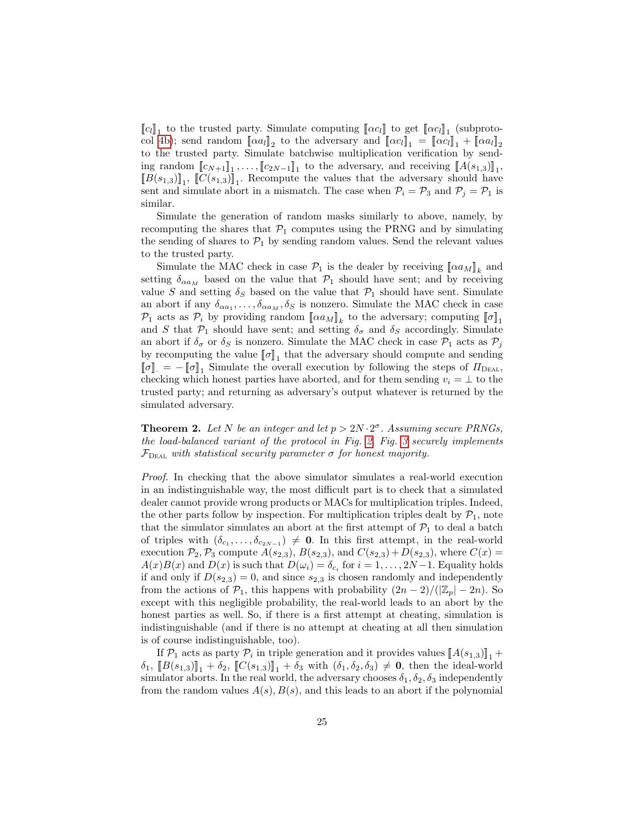$\llbracket c_l \rrbracket_1$  to the trusted party. Simulate computing  $\llbracket \alpha c_l \rrbracket$  to get  $\llbracket \alpha c_l \rrbracket_1$  (subproto-col [4b\)](#page-12-2); send random  $[\![\alpha a_l]\!]_2$  to the adversary and  $[\![\alpha c_l]\!]_1 = [\![\alpha c_l]\!]_1 + [\![\alpha a_l]\!]_2$ to the trusted party. Simulate batchwise multiplication verification by sending random  $[\![c_{N+1}]\!]_1, \ldots, [\![c_{2N-1}]\!]_1$  to the adversary, and receiving  $[\![A(s_{1,3})]\!]_1$ ,  $[[B(s_{1,3})]]_1$ ,  $[[C(s_{1,3})]]_1$ . Recompute the values that the adversary should have sent and simulate abort in a mismatch. The case when  $P_i = P_3$  and  $P_j = P_1$  is similar.

Simulate the generation of random masks similarly to above, namely, by recomputing the shares that  $\mathcal{P}_1$  computes using the PRNG and by simulating the sending of shares to  $P_1$  by sending random values. Send the relevant values to the trusted party.

Simulate the MAC check in case  $\mathcal{P}_1$  is the dealer by receiving  $[\![\alpha a_M]\!]_k$  and setting  $\delta_{\alpha a_M}$  based on the value that  $\mathcal{P}_1$  should have sent; and by receiving value S and setting  $\delta_S$  based on the value that  $\mathcal{P}_1$  should have sent. Simulate an abort if any  $\delta_{\alpha a_1}, \ldots, \delta_{\alpha a_M}, \delta_S$  is nonzero. Simulate the MAC check in case  $\mathcal{P}_1$  acts as  $\mathcal{P}_i$  by providing random  $[\![\alpha a_M]\!]_k$  to the adversary; computing  $[\![\sigma]\!]_1$ and S that  $\mathcal{P}_1$  should have sent; and setting  $\delta_{\sigma}$  and  $\delta_{S}$  accordingly. Simulate an abort if  $\delta_{\sigma}$  or  $\delta_{S}$  is nonzero. Simulate the MAC check in case  $\mathcal{P}_{1}$  acts as  $\mathcal{P}_{j}$ by recomputing the value  $\llbracket \sigma \rrbracket_1$  that the adversary should compute and sending  $[\![\sigma]\!]_1 = -[\![\sigma]\!]_1$  Simulate the overall execution by following the steps of  $\Pi_{\text{Data}}$ , checking which honest parties have aborted, and for them sending  $v_i = \perp$  to the trusted party; and returning as adversary's output whatever is returned by the simulated adversary.

**Theorem 2.** Let N be an integer and let  $p > 2N \cdot 2^{\sigma}$ . Assuming secure PRNGs, the load-balanced variant of the protocol in Fig. [2,](#page-12-0) Fig. [3](#page-13-0) securely implements  $\mathcal{F}_{\text{DEAL}}$  with statistical security parameter  $\sigma$  for honest majority.

Proof. In checking that the above simulator simulates a real-world execution in an indistinguishable way, the most difficult part is to check that a simulated dealer cannot provide wrong products or MACs for multiplication triples. Indeed, the other parts follow by inspection. For multiplication triples dealt by  $\mathcal{P}_1$ , note that the simulator simulates an abort at the first attempt of  $\mathcal{P}_1$  to deal a batch of triples with  $(\delta_{c_1}, \ldots, \delta_{c_{2N-1}}) \neq \mathbf{0}$ . In this first attempt, in the real-world execution  $\mathcal{P}_2, \mathcal{P}_3$  compute  $A(s_{2,3}), B(s_{2,3}),$  and  $C(s_{2,3}) + D(s_{2,3}),$  where  $C(x) =$  $A(x)B(x)$  and  $D(x)$  is such that  $D(\omega_i) = \delta_{c_i}$  for  $i = 1, ..., 2N-1$ . Equality holds if and only if  $D(s_{2,3}) = 0$ , and since  $s_{2,3}$  is chosen randomly and independently from the actions of  $\mathcal{P}_1$ , this happens with probability  $(2n-2)/(|\mathbb{Z}_p|-2n)$ . So except with this negligible probability, the real-world leads to an abort by the honest parties as well. So, if there is a first attempt at cheating, simulation is indistinguishable (and if there is no attempt at cheating at all then simulation is of course indistinguishable, too).

If  $\mathcal{P}_1$  acts as party  $\mathcal{P}_i$  in triple generation and it provides values  $\llbracket A(s_{1,3}) \rrbracket_1 +$  $\delta_1, \llbracket B(s_{1,3}) \rrbracket_1 + \delta_2, \llbracket C(s_{1,3}) \rrbracket_1 + \delta_3 \text{ with } (\delta_1, \delta_2, \delta_3) \neq \mathbf{0}, \text{ then the ideal-world}$ simulator aborts. In the real world, the adversary chooses  $\delta_1, \delta_2, \delta_3$  independently from the random values  $A(s)$ ,  $B(s)$ , and this leads to an abort if the polynomial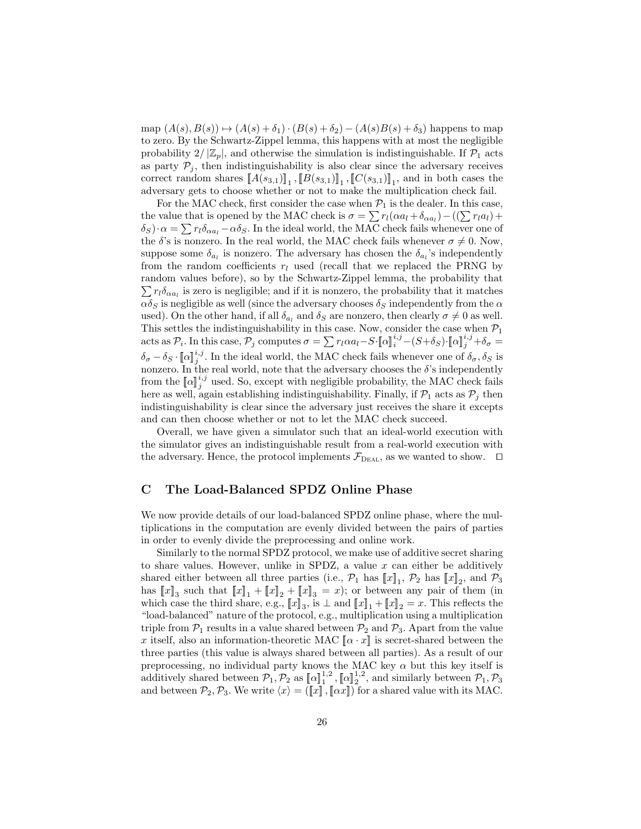map  $(A(s), B(s)) \mapsto (A(s) + \delta_1) \cdot (B(s) + \delta_2) - (A(s)B(s) + \delta_3)$  happens to map to zero. By the Schwartz-Zippel lemma, this happens with at most the negligible probability  $2/|\mathbb{Z}_p|$ , and otherwise the simulation is indistinguishable. If  $\mathcal{P}_1$  acts as party  $P_j$ , then indistinguishability is also clear since the adversary receives correct random shares  $\llbracket A(s_{3,1}) \rrbracket_1$ ,  $\llbracket B(s_{3,1}) \rrbracket_1$ ,  $\llbracket C(s_{3,1}) \rrbracket_1$ , and in both cases the adversary gets to choose whether or not to make the multiplication check fail.

For the MAC check, first consider the case when  $\mathcal{P}_1$  is the dealer. In this case, the value that is opened by the MAC check is  $\sigma = \sum r_l(\alpha a_l + \delta_{\alpha a_l}) - ((\sum r_l a_l) +$  $\delta_S$ ) $\cdot \alpha = \sum r_l \delta_{\alpha a_l} - \alpha \delta_S$ . In the ideal world, the MAC check fails whenever one of the  $\delta$ 's is nonzero. In the real world, the MAC check fails whenever  $\sigma \neq 0$ . Now, suppose some  $\delta_{a_l}$  is nonzero. The adversary has chosen the  $\delta_{a_l}$ 's independently from the random coefficients  $r_l$  used (recall that we replaced the PRNG by random values before), so by the Schwartz-Zippel lemma, the probability that  $\sum r_l \delta_{\alpha a_l}$  is zero is negligible; and if it is nonzero, the probability that it matches  $\alpha\delta_S$  is negligible as well (since the adversary chooses  $\delta_S$  independently from the  $\alpha$ used). On the other hand, if all  $\delta_{a_l}$  and  $\delta_S$  are nonzero, then clearly  $\sigma \neq 0$  as well. This settles the indistinguishability in this case. Now, consider the case when  $\mathcal{P}_1$ acts as  $\mathcal{P}_i$ . In this case,  $\overline{\mathcal{P}}_j$  computes  $\sigma = \sum r_l \alpha a_l - S \cdot [\![\alpha]\!]_i^{i,j} - (S + \delta_S) \cdot [\![\alpha]\!]_j^{i,j} + \delta_\sigma =$  $\delta_{\sigma} - \delta_S \cdot [\![\alpha]\!]^{i,j}_j$ . In the ideal world, the MAC check fails whenever one of  $\delta_{\sigma}, \delta_S$  is nonzero. In the real world, note that the adversary chooses the  $\delta$ 's independently from the  $\llbracket \alpha \rrbracket_j^{i,j}$  used. So, except with negligible probability, the MAC check fails here as well, again establishing indistinguishability. Finally, if  $\mathcal{P}_1$  acts as  $\mathcal{P}_i$  then indistinguishability is clear since the adversary just receives the share it excepts and can then choose whether or not to let the MAC check succeed.

Overall, we have given a simulator such that an ideal-world execution with the simulator gives an indistinguishable result from a real-world execution with the adversary. Hence, the protocol implements  $\mathcal{F}_{\text{DEAL}}$ , as we wanted to show.  $\Box$ 

# C The Load-Balanced SPDZ Online Phase

We now provide details of our load-balanced SPDZ online phase, where the multiplications in the computation are evenly divided between the pairs of parties in order to evenly divide the preprocessing and online work.

Similarly to the normal SPDZ protocol, we make use of additive secret sharing to share values. However, unlike in SPDZ, a value  $x$  can either be additively shared either between all three parties (i.e.,  $\mathcal{P}_1$  has  $[[x]]_1$ ,  $\mathcal{P}_2$  has  $[[x]]_2$ , and  $\mathcal{P}_3$ has  $[[x]]_3$  such that  $[[x]]_1 + [[x]]_2 + [[x]]_3 = x)$ ; or between any pair of them (in which case the third share, e.g.,  $[\![x]\!]_3$ , is  $\bot$  and  $[\![x]\!]_1 + [\![x]\!]_2 = x$ . This reflects the "load-balanced" nature of the protocol, e.g., multiplication using a multiplication triple from  $P_1$  results in a value shared between  $P_2$  and  $P_3$ . Apart from the value x itself, also an information-theoretic MAC  $\llbracket \alpha \cdot x \rrbracket$  is secret-shared between the three parties (this value is always shared between all parties). As a result of our preprocessing, no individual party knows the MAC key  $\alpha$  but this key itself is additively shared between  $\mathcal{P}_1, \mathcal{P}_2$  as  $[\![\alpha]\!]_1^{1,2}$ ,  $[\![\alpha]\!]_2^{1,2}$ , and similarly between  $\mathcal{P}_1, \mathcal{P}_3$ and between  $\mathcal{P}_2, \mathcal{P}_3$ . We write  $\langle x \rangle = (\llbracket x \rrbracket, \llbracket \alpha x \rrbracket)$  for a shared value with its MAC.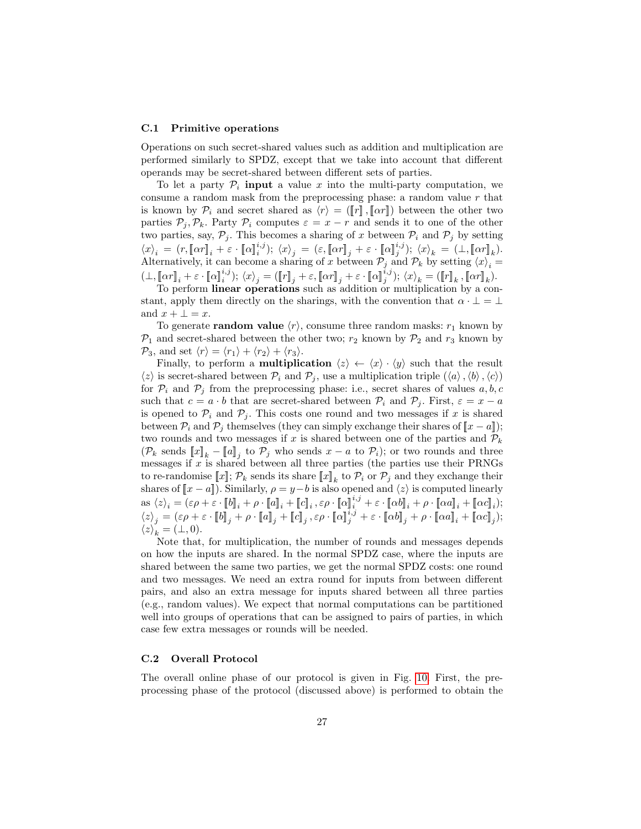#### C.1 Primitive operations

Operations on such secret-shared values such as addition and multiplication are performed similarly to SPDZ, except that we take into account that different operands may be secret-shared between different sets of parties.

To let a party  $\mathcal{P}_i$  input a value x into the multi-party computation, we consume a random mask from the preprocessing phase: a random value  $r$  that is known by  $\mathcal{P}_i$  and secret shared as  $\langle r \rangle = (\llbracket r \rrbracket, \llbracket \alpha r \rrbracket)$  between the other two parties  $\mathcal{P}_j, \mathcal{P}_k$ . Party  $\mathcal{P}_i$  computes  $\varepsilon = x - r$  and sends it to one of the other two parties, say,  $P_j$ . This becomes a sharing of x between  $P_i$  and  $P_j$  by setting  $\langle x \rangle_i = (r, [\![\alpha r]\!]_i + \varepsilon \cdot [\![\alpha]\!]_i^{i,j}); \langle x \rangle_j = (\varepsilon, [\![\alpha r]\!]_j + \varepsilon \cdot [\![\alpha]\!]_j^{i,j}); \langle x \rangle_k = (\bot, [\![\alpha r]\!]_k).$ Alternatively, it can become a sharing of x between  $\mathcal{P}_j$  and  $\mathcal{P}_k$  by setting  $\langle x \rangle_i =$  $(\bot, \llbracket \alpha r \rrbracket_i + \varepsilon \cdot \llbracket \alpha \rrbracket_i^{i,j}); \langle x \rangle_j = (\llbracket r \rrbracket_j + \varepsilon, \llbracket \alpha r \rrbracket_j + \varepsilon \cdot \llbracket \alpha \rrbracket_j^{i,j}); \langle x \rangle_k = (\llbracket r \rrbracket_k, \llbracket \alpha r \rrbracket_k).$ 

To perform linear operations such as addition or multiplication by a constant, apply them directly on the sharings, with the convention that  $\alpha \cdot \bot = \bot$ and  $x + \bot = x$ .

To generate **random value**  $\langle r \rangle$ , consume three random masks:  $r_1$  known by  $P_1$  and secret-shared between the other two;  $r_2$  known by  $P_2$  and  $r_3$  known by  $\mathcal{P}_3$ , and set  $\langle r \rangle = \langle r_1 \rangle + \langle r_2 \rangle + \langle r_3 \rangle$ .

Finally, to perform a **multiplication**  $\langle z \rangle \leftarrow \langle x \rangle \cdot \langle y \rangle$  such that the result  $\langle z \rangle$  is secret-shared between  $\mathcal{P}_i$  and  $\mathcal{P}_j$ , use a multiplication triple  $(\langle a \rangle, \langle b \rangle, \langle c \rangle)$ for  $\mathcal{P}_i$  and  $\mathcal{P}_j$  from the preprocessing phase: i.e., secret shares of values  $a, b, c$ such that  $c = a \cdot b$  that are secret-shared between  $\mathcal{P}_i$  and  $\mathcal{P}_j$ . First,  $\varepsilon = x - a$ is opened to  $\mathcal{P}_i$  and  $\mathcal{P}_j$ . This costs one round and two messages if x is shared between  $\mathcal{P}_i$  and  $\mathcal{P}_j$  themselves (they can simply exchange their shares of  $\llbracket x - a \rrbracket$ ); two rounds and two messages if x is shared between one of the parties and  $\mathcal{P}_k$  $(\mathcal{P}_k \text{ sends } [\![x]\!]_k - [\![a]\!]_j$  to  $\mathcal{P}_j$  who sends  $x - a$  to  $\mathcal{P}_i$ ); or two rounds and three messages if  $x$  is shared between all three parties (the parties use their PRNGs to re-randomise  $[[x]]$ ;  $\mathcal{P}_k$  sends its share  $[[x]]_k$  to  $\mathcal{P}_i$  or  $\mathcal{P}_j$  and they exchange their shares of  $\llbracket x - a \rrbracket$ ). Similarly,  $\rho = y - b$  is also opened and  $\langle z \rangle$  is computed linearly as  $\langle z \rangle_i = \overline{(\varepsilon \rho + \varepsilon \cdot \llbracket b \rrbracket_i + \rho \cdot \llbracket a \rrbracket_i + \llbracket c \rrbracket_i, \varepsilon \rho \cdot \llbracket \alpha \rrbracket_i^{\mathit{i},\mathit{j}} + \varepsilon \cdot \llbracket \alpha b \rrbracket_i + \rho \cdot \llbracket \alpha a \rrbracket_i + \llbracket \alpha c \rrbracket_i);$  $\langle z \rangle_j = (\varepsilon \rho + \varepsilon \cdot \llbracket b \rrbracket_j + \rho \cdot \llbracket a \rrbracket_j + \llbracket c \rrbracket_j, \varepsilon \rho \cdot \llbracket \alpha \rrbracket_j^{\textit{i},j} + \varepsilon \cdot \llbracket \alpha b \rrbracket_j + \rho \cdot \llbracket \alpha a \rrbracket_i + \llbracket \alpha c \rrbracket_j);$  $\langle z \rangle_k = (\perp, 0).$ 

Note that, for multiplication, the number of rounds and messages depends on how the inputs are shared. In the normal SPDZ case, where the inputs are shared between the same two parties, we get the normal SPDZ costs: one round and two messages. We need an extra round for inputs from between different pairs, and also an extra message for inputs shared between all three parties (e.g., random values). We expect that normal computations can be partitioned well into groups of operations that can be assigned to pairs of parties, in which case few extra messages or rounds will be needed.

### C.2 Overall Protocol

The overall online phase of our protocol is given in Fig. [10.](#page-27-0) First, the preprocessing phase of the protocol (discussed above) is performed to obtain the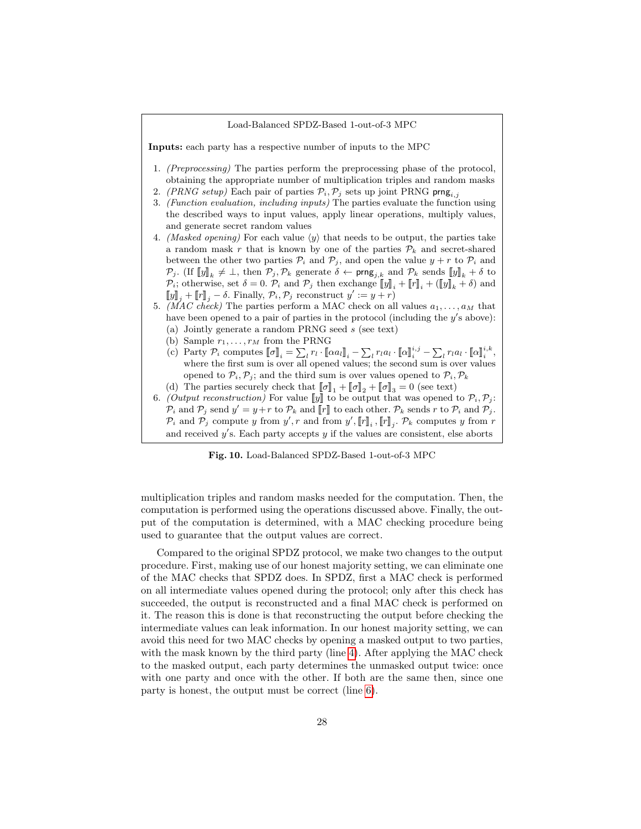<span id="page-27-1"></span>

<span id="page-27-3"></span><span id="page-27-2"></span>and received  $y'$ s. Each party accepts  $y$  if the values are consistent, else aborts

<span id="page-27-0"></span>Fig. 10. Load-Balanced SPDZ-Based 1-out-of-3 MPC

multiplication triples and random masks needed for the computation. Then, the computation is performed using the operations discussed above. Finally, the output of the computation is determined, with a MAC checking procedure being used to guarantee that the output values are correct.

Compared to the original SPDZ protocol, we make two changes to the output procedure. First, making use of our honest majority setting, we can eliminate one of the MAC checks that SPDZ does. In SPDZ, first a MAC check is performed on all intermediate values opened during the protocol; only after this check has succeeded, the output is reconstructed and a final MAC check is performed on it. The reason this is done is that reconstructing the output before checking the intermediate values can leak information. In our honest majority setting, we can avoid this need for two MAC checks by opening a masked output to two parties, with the mask known by the third party (line [4\)](#page-27-1). After applying the MAC check to the masked output, each party determines the unmasked output twice: once with one party and once with the other. If both are the same then, since one party is honest, the output must be correct (line [6\)](#page-27-2).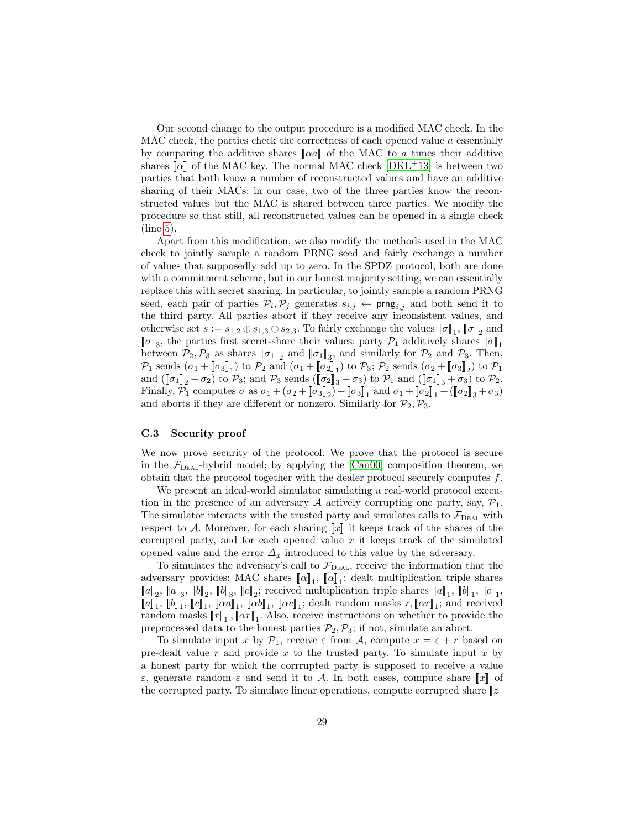Our second change to the output procedure is a modified MAC check. In the MAC check, the parties check the correctness of each opened value  $a$  essentially by comparing the additive shares  $\lceil \alpha a \rceil$  of the MAC to a times their additive shares  $\llbracket \alpha \rrbracket$  of the MAC key. The normal MAC check  $[DKL+13]$  $[DKL+13]$  is between two parties that both know a number of reconstructed values and have an additive sharing of their MACs; in our case, two of the three parties know the reconstructed values but the MAC is shared between three parties. We modify the procedure so that still, all reconstructed values can be opened in a single check (line [5\)](#page-27-3).

Apart from this modification, we also modify the methods used in the MAC check to jointly sample a random PRNG seed and fairly exchange a number of values that supposedly add up to zero. In the SPDZ protocol, both are done with a commitment scheme, but in our honest majority setting, we can essentially replace this with secret sharing. In particular, to jointly sample a random PRNG seed, each pair of parties  $\mathcal{P}_i$ ,  $\mathcal{P}_j$  generates  $s_{i,j}$   $\leftarrow$  prng<sub>i,j</sub> and both send it to the third party. All parties abort if they receive any inconsistent values, and otherwise set  $s := s_{1,2} \oplus s_{1,3} \oplus s_{2,3}$ . To fairly exchange the values  $[\![\sigma]\!]_1$ ,  $[\![\sigma]\!]_2$  and  $[\![\sigma]\!]_3$ , the parties first secret-share their values: party  $\mathcal{P}_1$  additively shares  $[\![\sigma]\!]_1$ between  $\mathcal{P}_2, \mathcal{P}_3$  as shares  $[\![\sigma_1]\!]_2$  and  $[\![\sigma_1]\!]_3$ , and similarly for  $\mathcal{P}_2$  and  $\mathcal{P}_3$ . Then,  $\mathcal{P}_1$  sends  $(\sigma_1 + [\![\sigma_3]\!]_1)$  to  $\mathcal{P}_2$  and  $(\sigma_1 + [\![\sigma_2]\!]_1)$  to  $\mathcal{P}_3$ ;  $\mathcal{P}_2$  sends  $(\sigma_2 + [\![\sigma_3]\!]_2)$  to  $\mathcal{P}_1$ and  $([\![\sigma_1]\!]_2 + \sigma_2)$  to  $\mathcal{P}_3$ ; and  $\mathcal{P}_3$  sends  $([\![\sigma_2]\!]_3 + \sigma_3)$  to  $\mathcal{P}_1$  and  $([\![\sigma_1]\!]_3 + \sigma_3)$  to  $\mathcal{P}_2$ . Finally,  $\mathcal{P}_1$  computes  $\sigma$  as  $\sigma_1 + (\sigma_2 + \llbracket \sigma_3 \rrbracket_2) + \llbracket \sigma_3 \rrbracket_1$  and  $\sigma_1 + \llbracket \sigma_2 \rrbracket_1 + (\llbracket \sigma_2 \rrbracket_3 + \sigma_3)$ and aborts if they are different or nonzero. Similarly for  $\mathcal{P}_2, \mathcal{P}_3$ .

#### C.3 Security proof

We now prove security of the protocol. We prove that the protocol is secure in the  $\mathcal{F}_{\text{DEAL}}$ -hybrid model; by applying the [\[Can00\]](#page-17-7) composition theorem, we obtain that the protocol together with the dealer protocol securely computes f.

We present an ideal-world simulator simulating a real-world protocol execution in the presence of an adversary A actively corrupting one party, say,  $\mathcal{P}_1$ . The simulator interacts with the trusted party and simulates calls to  $\mathcal{F}_{\text{DEAL}}$  with respect to  $A$ . Moreover, for each sharing  $\llbracket x \rrbracket$  it keeps track of the shares of the corrupted party, and for each opened value  $x$  it keeps track of the simulated opened value and the error  $\Delta_x$  introduced to this value by the adversary.

To simulates the adversary's call to  $\mathcal{F}_{\text{DEAL}}$ , receive the information that the adversary provides: MAC shares  $\llbracket \alpha \rrbracket_1$ ,  $\llbracket \alpha \rrbracket_1$ ; dealt multiplication triple shares  $[\![a]\!]_2$ ,  $[\![a]\!]_3$ ,  $[\![b]\!]_2$ ,  $[\![b]\!]_3$ ,  $[\![c]\!]_2$ ; received multiplication triple shares  $[\![a]\!]_1$ ,  $[\![b]\!]_1$ ,  $[\![c]\!]_1$ ,  $[\![a]\!]_1$ ,  $[\![b]\!]_1$ ,  $[\![c]\!]_1$ ,  $[\![\alpha a]\!]_1$ ,  $[\![\alpha c]\!]_1$ ; dealt random masks  $r$ ,  $[\![\alpha r]\!]_1$ ; and received random masks  $[\![r]\!]_1$ ,  $[\![\alpha r]\!]_1$ . Also, receive instructions on whether to provide the preprocessed data to the honest parties  $P_2, P_3$ ; if not, simulate an abort.

To simulate input x by  $\mathcal{P}_1$ , receive  $\varepsilon$  from A, compute  $x = \varepsilon + r$  based on pre-dealt value  $r$  and provide  $x$  to the trusted party. To simulate input  $x$  by a honest party for which the corrrupted party is supposed to receive a value ε, generate random ε and send it to A. In both cases, compute share  $\llbracket x \rrbracket$  of the corrupted party. To simulate linear operations, compute corrupted share  $[z]$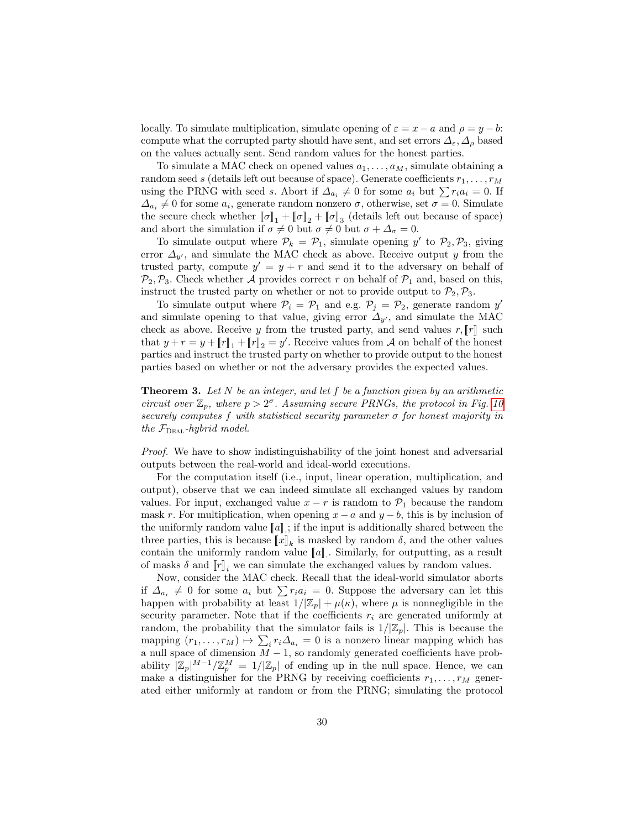locally. To simulate multiplication, simulate opening of  $\varepsilon = x - a$  and  $\rho = y - b$ : compute what the corrupted party should have sent, and set errors  $\Delta_{\varepsilon}, \Delta_{\rho}$  based on the values actually sent. Send random values for the honest parties.

To simulate a MAC check on opened values  $a_1, \ldots, a_M$ , simulate obtaining a random seed s (details left out because of space). Generate coefficients  $r_1, \ldots, r_M$ using the PRNG with seed s. Abort if  $\Delta_{a_i} \neq 0$  for some  $a_i$  but  $\sum r_i a_i = 0$ . If  $\Delta_{a_i} \neq 0$  for some  $a_i$ , generate random nonzero  $\sigma$ , otherwise, set  $\sigma = 0$ . Simulate the secure check whether  $[\![\sigma]\!]_1 + [\![\sigma]\!]_2 + [\![\sigma]\!]_3$  (details left out because of space) and abort the simulation if  $\sigma \neq 0$  but  $\sigma \neq 0$  but  $\sigma + \Delta_{\sigma} = 0$ .

To simulate output where  $\mathcal{P}_k = \mathcal{P}_1$ , simulate opening y' to  $\mathcal{P}_2, \mathcal{P}_3$ , giving error  $\Delta_{y'}$ , and simulate the MAC check as above. Receive output y from the trusted party, compute  $y' = y + r$  and send it to the adversary on behalf of  $\mathcal{P}_2, \mathcal{P}_3$ . Check whether A provides correct r on behalf of  $\mathcal{P}_1$  and, based on this, instruct the trusted party on whether or not to provide output to  $\mathcal{P}_2, \mathcal{P}_3$ .

To simulate output where  $\mathcal{P}_i = \mathcal{P}_1$  and e.g.  $\mathcal{P}_j = \mathcal{P}_2$ , generate random y' and simulate opening to that value, giving error  $\Delta_{\nu'}$ , and simulate the MAC check as above. Receive y from the trusted party, and send values  $r, \llbracket r \rrbracket$  such that  $y + r = y + \llbracket r \rrbracket_1 + \llbracket r \rrbracket_2 = y'$ . Receive values from A on behalf of the honest parties and instruct the trusted party on whether to provide output to the honest parties based on whether or not the adversary provides the expected values.

**Theorem 3.** Let  $N$  be an integer, and let  $f$  be a function given by an arithmetic circuit over  $\mathbb{Z}_p$ , where  $p > 2^{\sigma}$ . Assuming secure PRNGs, the protocol in Fig. [10](#page-27-0) securely computes f with statistical security parameter  $\sigma$  for honest majority in the  $\mathcal{F}_{\text{DEAL}}$ -hybrid model.

Proof. We have to show indistinguishability of the joint honest and adversarial outputs between the real-world and ideal-world executions.

For the computation itself (i.e., input, linear operation, multiplication, and output), observe that we can indeed simulate all exchanged values by random values. For input, exchanged value  $x - r$  is random to  $\mathcal{P}_1$  because the random mask r. For multiplication, when opening  $x - a$  and  $y - b$ , this is by inclusion of the uniformly random value  $\llbracket a \rrbracket$ ; if the input is additionally shared between the three parties, this is because  $\llbracket x \rrbracket_k$  is masked by random  $\delta$ , and the other values contain the uniformly random value  $\llbracket a \rrbracket$ . Similarly, for outputting, as a result of masks  $\delta$  and  $\llbracket r \rrbracket$ , we can simulate the exchanged values by random values.

Now, consider the MAC check. Recall that the ideal-world simulator aborts if  $\Delta_{a_i} \neq 0$  for some  $a_i$  but  $\sum r_i a_i = 0$ . Suppose the adversary can let this happen with probability at least  $1/|\mathbb{Z}_p| + \mu(\kappa)$ , where  $\mu$  is nonnegligible in the security parameter. Note that if the coefficients  $r_i$  are generated uniformly at random, the probability that the simulator fails is  $1/|\mathbb{Z}_p|$ . This is because the mapping  $(r_1, \ldots, r_M) \mapsto \sum_i r_i \Delta_{a_i} = 0$  is a nonzero linear mapping which has a null space of dimension  $M - 1$ , so randomly generated coefficients have probability  $|\mathbb{Z}_p|^{M-1}/\mathbb{Z}_p^M = 1/|\mathbb{Z}_p|$  of ending up in the null space. Hence, we can make a distinguisher for the PRNG by receiving coefficients  $r_1, \ldots, r_M$  generated either uniformly at random or from the PRNG; simulating the protocol